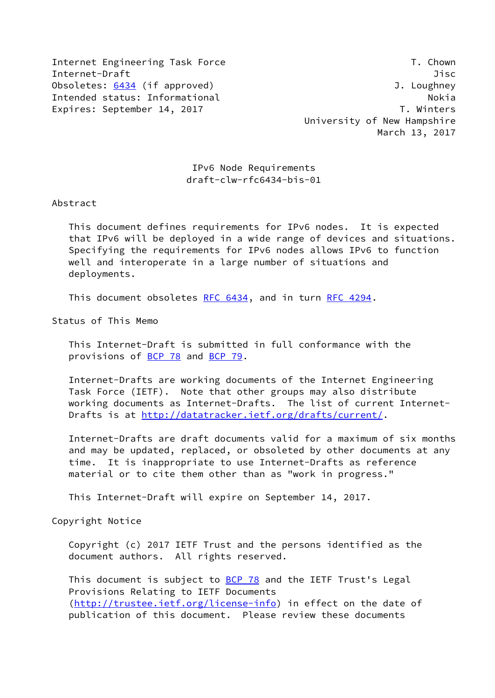Internet Engineering Task Force T. Chown Internet-Draft Jisc Obsoletes: [6434](https://datatracker.ietf.org/doc/pdf/rfc6434) (if approved) 3. Loughney Intended status: Informational Nokia Nokia Nokia Nokia Expires: September 14, 2017 T. Winters

 University of New Hampshire March 13, 2017

 IPv6 Node Requirements draft-clw-rfc6434-bis-01

Abstract

 This document defines requirements for IPv6 nodes. It is expected that IPv6 will be deployed in a wide range of devices and situations. Specifying the requirements for IPv6 nodes allows IPv6 to function well and interoperate in a large number of situations and deployments.

This document obsoletes [RFC 6434](https://datatracker.ietf.org/doc/pdf/rfc6434), and in turn [RFC 4294](https://datatracker.ietf.org/doc/pdf/rfc4294).

Status of This Memo

 This Internet-Draft is submitted in full conformance with the provisions of [BCP 78](https://datatracker.ietf.org/doc/pdf/bcp78) and [BCP 79](https://datatracker.ietf.org/doc/pdf/bcp79).

 Internet-Drafts are working documents of the Internet Engineering Task Force (IETF). Note that other groups may also distribute working documents as Internet-Drafts. The list of current Internet- Drafts is at<http://datatracker.ietf.org/drafts/current/>.

 Internet-Drafts are draft documents valid for a maximum of six months and may be updated, replaced, or obsoleted by other documents at any time. It is inappropriate to use Internet-Drafts as reference material or to cite them other than as "work in progress."

This Internet-Draft will expire on September 14, 2017.

Copyright Notice

 Copyright (c) 2017 IETF Trust and the persons identified as the document authors. All rights reserved.

This document is subject to **[BCP 78](https://datatracker.ietf.org/doc/pdf/bcp78)** and the IETF Trust's Legal Provisions Relating to IETF Documents [\(http://trustee.ietf.org/license-info](http://trustee.ietf.org/license-info)) in effect on the date of publication of this document. Please review these documents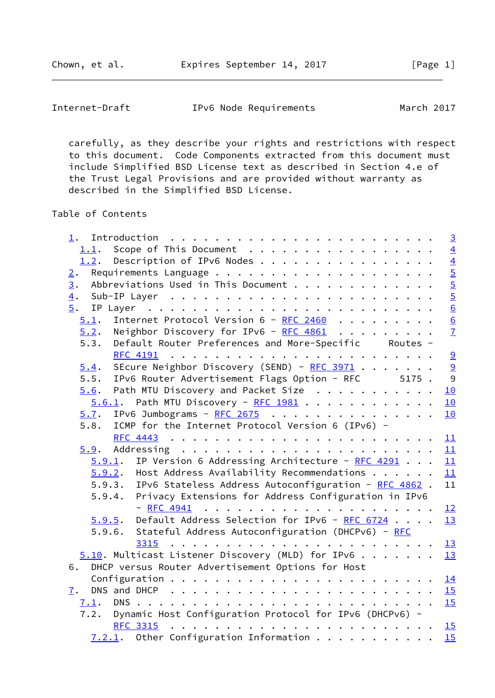Internet-Draft IPv6 Node Requirements March 2017

 carefully, as they describe your rights and restrictions with respect to this document. Code Components extracted from this document must include Simplified BSD License text as described in Section 4.e of the Trust Legal Provisions and are provided without warranty as described in the Simplified BSD License.

Table of Contents

| 1.                                                              | $\overline{3}$                                  |
|-----------------------------------------------------------------|-------------------------------------------------|
| 1.1. Scope of This Document                                     | $\overline{4}$                                  |
| 1.2. Description of IPv6 Nodes                                  |                                                 |
| 2.                                                              |                                                 |
| Abbreviations Used in This Document<br>3.                       |                                                 |
| $\overline{4}$ .                                                |                                                 |
| 5.                                                              |                                                 |
| Internet Protocol Version 6 - RFC 2460<br>5.1.                  | $\frac{4}{6}$ on $\frac{1}{6}$ on $\frac{1}{6}$ |
| Neighbor Discovery for IPv6 - RFC $4861$<br>5.2.                | $\overline{1}$                                  |
| Default Router Preferences and More-Specific Routes -<br>5.3.   |                                                 |
| <b>RFC 4191</b>                                                 | 9                                               |
| SEcure Neighbor Discovery (SEND) - RFC 3971<br>5.4.             | $\frac{9}{9}$                                   |
| 5.5. IPv6 Router Advertisement Flags Option - RFC 5175.         |                                                 |
| Path MTU Discovery and Packet Size<br>5.6.                      | 10                                              |
| $5.6.1$ . Path MTU Discovery - RFC 1981                         | 10                                              |
| IPv6 Jumbograms - $RFC 2675$<br>5.7.                            | 10                                              |
| ICMP for the Internet Protocol Version 6 (IPv6) -<br>5.8.       |                                                 |
|                                                                 | 11                                              |
|                                                                 | 11                                              |
| $5.9.1$ . IP Version 6 Addressing Architecture - RFC 4291       | 11                                              |
| $5.9.2$ . Host Address Availability Recommendations             | 11                                              |
| 5.9.3. IPv6 Stateless Address Autoconfiguration - RFC 4862.     | 11                                              |
| 5.9.4. Privacy Extensions for Address Configuration in IPv6     |                                                 |
| $-$ RFC 4941                                                    | 12                                              |
| $5.9.5$ . Default Address Selection for IPv6 - RFC 6724         | 13                                              |
| 5.9.6. Stateful Address Autoconfiguration (DHCPv6) - RFC        |                                                 |
|                                                                 | 13                                              |
| $5.10$ . Multicast Listener Discovery (MLD) for IPv6            | 13                                              |
| DHCP versus Router Advertisement Options for Host<br>6.         |                                                 |
|                                                                 | 14                                              |
| 7.                                                              |                                                 |
| 7.1.                                                            | 15                                              |
| Dynamic Host Configuration Protocol for IPv6 (DHCPv6) -<br>7.2. |                                                 |
| <b>RFC 3315</b>                                                 | 15                                              |
| $7.2.1$ . Other Configuration Information                       | 15                                              |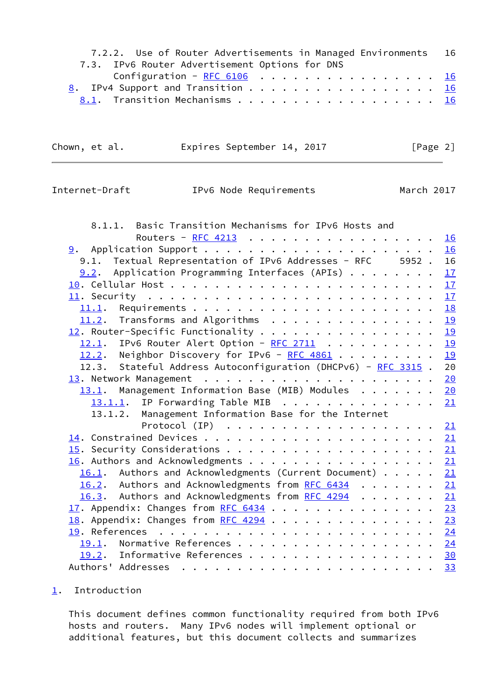| 7.2.2. Use of Router Advertisements in Managed Environments 16 |  |
|----------------------------------------------------------------|--|
| 7.3. IPv6 Router Advertisement Options for DNS                 |  |
| Configuration - <u>RFC 6106</u> 16                             |  |
| 8. IPv4 Support and Transition 16                              |  |
|                                                                |  |

Chown, et al. Expires September 14, 2017 [Page 2]

<span id="page-2-1"></span>Internet-Draft IPv6 Node Requirements March 2017

| 8.1.1. Basic Transition Mechanisms for IPv6 Hosts and                         |    |
|-------------------------------------------------------------------------------|----|
| Routers - <u>RFC 4213</u>                                                     | 16 |
|                                                                               | 16 |
| 9.1. Textual Representation of IPv6 Addresses - RFC 5952. 16                  |    |
| $9.2$ . Application Programming Interfaces (APIs)                             | 17 |
|                                                                               | 17 |
|                                                                               | 17 |
|                                                                               | 18 |
| 11.2. Transforms and Algorithms                                               | 19 |
| $\frac{12}{12}$ . Router-Specific Functionality                               | 19 |
| 12.1. IPv6 Router Alert Option - RFC 2711                                     | 19 |
| 12.2. Neighbor Discovery for IPv6 - $RFC 4861$                                | 19 |
| 12.3. Stateful Address Autoconfiguration (DHCPv6) - RFC 3315.                 | 20 |
|                                                                               | 20 |
| 13.1. Management Information Base (MIB) Modules                               | 20 |
| 13.1.1. IP Forwarding Table MIB                                               | 21 |
| 13.1.2. Management Information Base for the Internet                          |    |
| Protocol (IP) $\ldots \ldots \ldots \ldots \ldots \ldots \ldots \frac{21}{2}$ |    |
|                                                                               |    |
|                                                                               |    |
| 16. Authors and Acknowledgments 21                                            |    |
| 16.1. Authors and Acknowledgments (Current Document) 21                       |    |
| 16.2. Authors and Acknowledgments from RFC 6434 21                            |    |
| 16.3. Authors and Acknowledgments from RFC 4294 21                            |    |
| 17. Appendix: Changes from RFC 6434 23                                        |    |
| 18. Appendix: Changes from RFC 4294 23                                        |    |
|                                                                               |    |
| 19.1. Normative References 24                                                 |    |
| 19.2. Informative References 30                                               |    |
|                                                                               | 33 |

# <span id="page-2-0"></span>[1](#page-2-0). Introduction

 This document defines common functionality required from both IPv6 hosts and routers. Many IPv6 nodes will implement optional or additional features, but this document collects and summarizes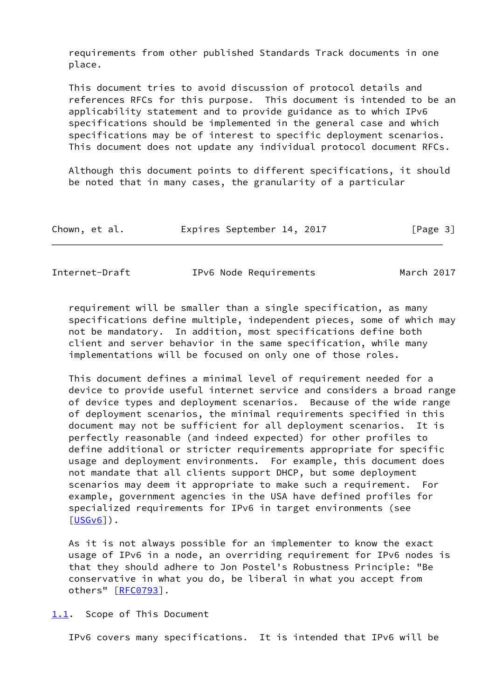requirements from other published Standards Track documents in one place.

 This document tries to avoid discussion of protocol details and references RFCs for this purpose. This document is intended to be an applicability statement and to provide guidance as to which IPv6 specifications should be implemented in the general case and which specifications may be of interest to specific deployment scenarios. This document does not update any individual protocol document RFCs.

 Although this document points to different specifications, it should be noted that in many cases, the granularity of a particular

| Chown, et al. | Expires September 14, 2017 | [Page 3] |
|---------------|----------------------------|----------|
|---------------|----------------------------|----------|

<span id="page-3-1"></span>

|  | Internet-Draft | IPv6 Node Requirements | March 2017 |
|--|----------------|------------------------|------------|
|--|----------------|------------------------|------------|

 requirement will be smaller than a single specification, as many specifications define multiple, independent pieces, some of which may not be mandatory. In addition, most specifications define both client and server behavior in the same specification, while many implementations will be focused on only one of those roles.

 This document defines a minimal level of requirement needed for a device to provide useful internet service and considers a broad range of device types and deployment scenarios. Because of the wide range of deployment scenarios, the minimal requirements specified in this document may not be sufficient for all deployment scenarios. It is perfectly reasonable (and indeed expected) for other profiles to define additional or stricter requirements appropriate for specific usage and deployment environments. For example, this document does not mandate that all clients support DHCP, but some deployment scenarios may deem it appropriate to make such a requirement. For example, government agencies in the USA have defined profiles for specialized requirements for IPv6 in target environments (see  $[USGv6]$  $[USGv6]$ ).

 As it is not always possible for an implementer to know the exact usage of IPv6 in a node, an overriding requirement for IPv6 nodes is that they should adhere to Jon Postel's Robustness Principle: "Be conservative in what you do, be liberal in what you accept from others" [\[RFC0793](https://datatracker.ietf.org/doc/pdf/rfc0793)].

<span id="page-3-0"></span>[1.1](#page-3-0). Scope of This Document

IPv6 covers many specifications. It is intended that IPv6 will be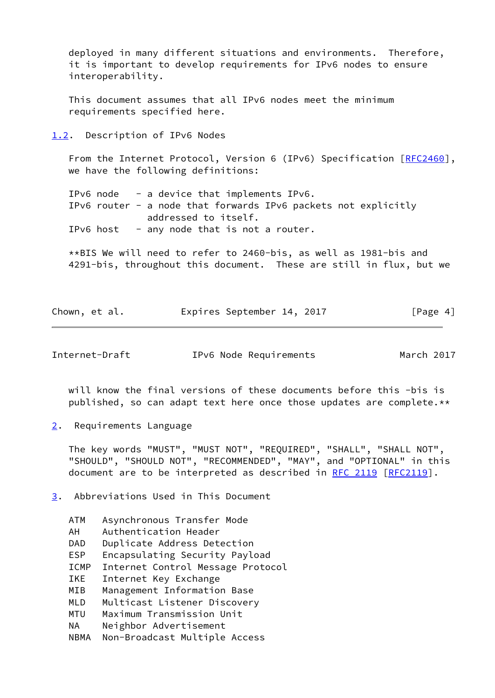deployed in many different situations and environments. Therefore, it is important to develop requirements for IPv6 nodes to ensure interoperability.

 This document assumes that all IPv6 nodes meet the minimum requirements specified here.

<span id="page-4-0"></span>[1.2](#page-4-0). Description of IPv6 Nodes

From the Internet Protocol, Version 6 (IPv6) Specification [[RFC2460\]](https://datatracker.ietf.org/doc/pdf/rfc2460), we have the following definitions:

 IPv6 node - a device that implements IPv6. IPv6 router - a node that forwards IPv6 packets not explicitly addressed to itself. IPv6 host  $-$  any node that is not a router.

 \*\*BIS We will need to refer to 2460-bis, as well as 1981-bis and 4291-bis, throughout this document. These are still in flux, but we

| Chown, et al. |  | Expires September 14, 2017 |  |  | [Page 4] |
|---------------|--|----------------------------|--|--|----------|
|---------------|--|----------------------------|--|--|----------|

<span id="page-4-2"></span>Internet-Draft IPv6 Node Requirements March 2017

 will know the final versions of these documents before this -bis is published, so can adapt text here once those updates are complete.\*\*

<span id="page-4-1"></span>[2](#page-4-1). Requirements Language

 The key words "MUST", "MUST NOT", "REQUIRED", "SHALL", "SHALL NOT", "SHOULD", "SHOULD NOT", "RECOMMENDED", "MAY", and "OPTIONAL" in this document are to be interpreted as described in [RFC 2119 \[RFC2119](https://datatracker.ietf.org/doc/pdf/rfc2119)].

<span id="page-4-3"></span>[3](#page-4-3). Abbreviations Used in This Document

| <b>ATM</b>  | Asynchronous Transfer Mode        |
|-------------|-----------------------------------|
| AH          | Authentication Header             |
| DAD         | Duplicate Address Detection       |
| <b>ESP</b>  | Encapsulating Security Payload    |
| <b>ICMP</b> | Internet Control Message Protocol |
| <b>IKE</b>  | Internet Key Exchange             |
| MIB         | Management Information Base       |
| <b>MLD</b>  | Multicast Listener Discovery      |
| <b>MTU</b>  | Maximum Transmission Unit         |
| ΝA          | Neighbor Advertisement            |
| NBMA        | Non-Broadcast Multiple Access     |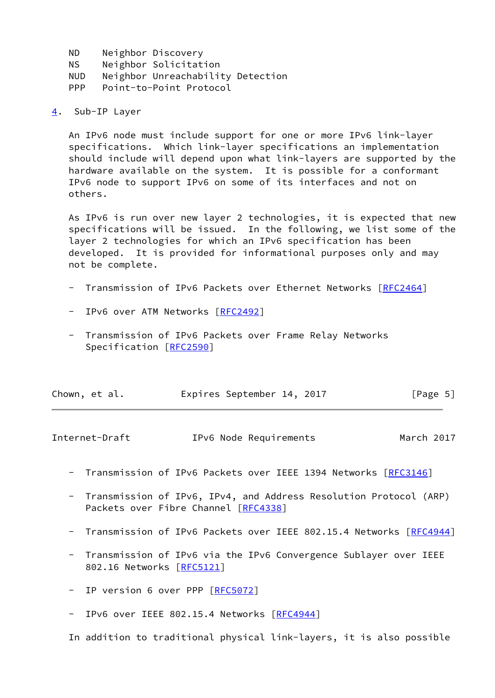- ND Neighbor Discovery NS Neighbor Solicitation NUD Neighbor Unreachability Detection PPP Point-to-Point Protocol
- <span id="page-5-0"></span>[4](#page-5-0). Sub-IP Layer

 An IPv6 node must include support for one or more IPv6 link-layer specifications. Which link-layer specifications an implementation should include will depend upon what link-layers are supported by the hardware available on the system. It is possible for a conformant IPv6 node to support IPv6 on some of its interfaces and not on others.

 As IPv6 is run over new layer 2 technologies, it is expected that new specifications will be issued. In the following, we list some of the layer 2 technologies for which an IPv6 specification has been developed. It is provided for informational purposes only and may not be complete.

- Transmission of IPv6 Packets over Ethernet Networks [\[RFC2464](https://datatracker.ietf.org/doc/pdf/rfc2464)]
- IPv6 over ATM Networks [[RFC2492](https://datatracker.ietf.org/doc/pdf/rfc2492)]
- Transmission of IPv6 Packets over Frame Relay Networks Specification [\[RFC2590](https://datatracker.ietf.org/doc/pdf/rfc2590)]

| Chown, et al. | Expires September 14, 2017 |  | [Page 5] |
|---------------|----------------------------|--|----------|
|---------------|----------------------------|--|----------|

<span id="page-5-1"></span>

| Internet-Draft | IPv6 Node Requirements | March 2017 |
|----------------|------------------------|------------|
|----------------|------------------------|------------|

- Transmission of IPv6 Packets over IEEE 1394 Networks [\[RFC3146](https://datatracker.ietf.org/doc/pdf/rfc3146)]
- Transmission of IPv6, IPv4, and Address Resolution Protocol (ARP) Packets over Fibre Channel [[RFC4338](https://datatracker.ietf.org/doc/pdf/rfc4338)]
- Transmission of IPv6 Packets over IEEE 802.15.4 Networks [\[RFC4944](https://datatracker.ietf.org/doc/pdf/rfc4944)]
- Transmission of IPv6 via the IPv6 Convergence Sublayer over IEEE 802.16 Networks [[RFC5121\]](https://datatracker.ietf.org/doc/pdf/rfc5121)
- IP version 6 over PPP [\[RFC5072](https://datatracker.ietf.org/doc/pdf/rfc5072)]
- IPv6 over IEEE 802.15.4 Networks [\[RFC4944](https://datatracker.ietf.org/doc/pdf/rfc4944)]

In addition to traditional physical link-layers, it is also possible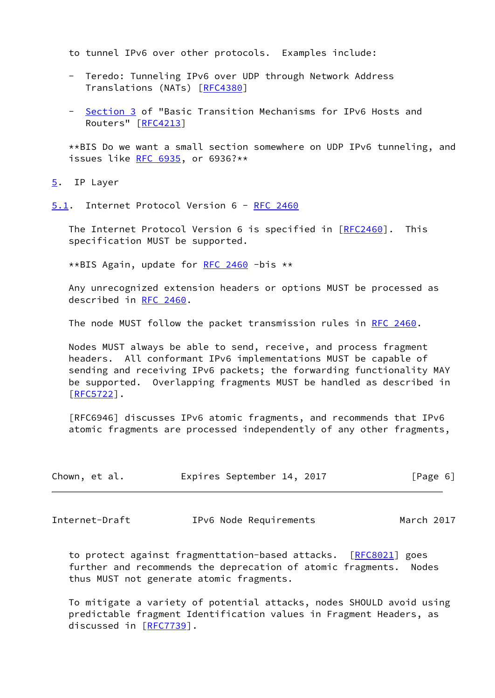to tunnel IPv6 over other protocols. Examples include:

- Teredo: Tunneling IPv6 over UDP through Network Address Translations (NATs) [\[RFC4380](https://datatracker.ietf.org/doc/pdf/rfc4380)]
- [Section 3](#page-4-3) of "Basic Transition Mechanisms for IPv6 Hosts and Routers" [\[RFC4213](https://datatracker.ietf.org/doc/pdf/rfc4213)]

 \*\*BIS Do we want a small section somewhere on UDP IPv6 tunneling, and issues like [RFC 6935,](https://datatracker.ietf.org/doc/pdf/rfc6935) or 6936?\*\*

<span id="page-6-0"></span>[5](#page-6-0). IP Layer

<span id="page-6-1"></span>[5.1](#page-6-1). Internet Protocol Version 6 - [RFC 2460](https://datatracker.ietf.org/doc/pdf/rfc2460)

 The Internet Protocol Version 6 is specified in [\[RFC2460](https://datatracker.ietf.org/doc/pdf/rfc2460)]. This specification MUST be supported.

\*\*BIS Again, update for [RFC 2460](https://datatracker.ietf.org/doc/pdf/rfc2460) -bis \*\*

 Any unrecognized extension headers or options MUST be processed as described in [RFC 2460](https://datatracker.ietf.org/doc/pdf/rfc2460).

The node MUST follow the packet transmission rules in [RFC 2460](https://datatracker.ietf.org/doc/pdf/rfc2460).

 Nodes MUST always be able to send, receive, and process fragment headers. All conformant IPv6 implementations MUST be capable of sending and receiving IPv6 packets; the forwarding functionality MAY be supported. Overlapping fragments MUST be handled as described in [\[RFC5722](https://datatracker.ietf.org/doc/pdf/rfc5722)].

 [RFC6946] discusses IPv6 atomic fragments, and recommends that IPv6 atomic fragments are processed independently of any other fragments,

| Chown, et al. |  | Expires September 14, 2017 |  | [Page 6] |  |
|---------------|--|----------------------------|--|----------|--|
|               |  |                            |  |          |  |

<span id="page-6-2"></span>Internet-Draft IPv6 Node Requirements March 2017

 to protect against fragmenttation-based attacks. [[RFC8021](https://datatracker.ietf.org/doc/pdf/rfc8021)] goes further and recommends the deprecation of atomic fragments. Nodes thus MUST not generate atomic fragments.

 To mitigate a variety of potential attacks, nodes SHOULD avoid using predictable fragment Identification values in Fragment Headers, as discussed in [\[RFC7739](https://datatracker.ietf.org/doc/pdf/rfc7739)].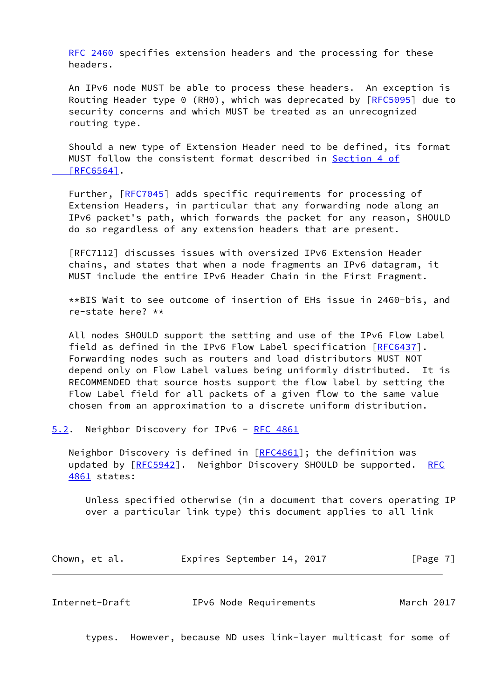[RFC 2460](https://datatracker.ietf.org/doc/pdf/rfc2460) specifies extension headers and the processing for these headers.

 An IPv6 node MUST be able to process these headers. An exception is Routing Header type 0 (RH0), which was deprecated by [\[RFC5095](https://datatracker.ietf.org/doc/pdf/rfc5095)] due to security concerns and which MUST be treated as an unrecognized routing type.

 Should a new type of Extension Header need to be defined, its format MUST follow the consistent format described in [Section](https://datatracker.ietf.org/doc/pdf/rfc6564#section-4) 4 of  [\[RFC6564\]](https://datatracker.ietf.org/doc/pdf/rfc6564#section-4).

Further, [\[RFC7045](https://datatracker.ietf.org/doc/pdf/rfc7045)] adds specific requirements for processing of Extension Headers, in particular that any forwarding node along an IPv6 packet's path, which forwards the packet for any reason, SHOULD do so regardless of any extension headers that are present.

 [RFC7112] discusses issues with oversized IPv6 Extension Header chains, and states that when a node fragments an IPv6 datagram, it MUST include the entire IPv6 Header Chain in the First Fragment.

 \*\*BIS Wait to see outcome of insertion of EHs issue in 2460-bis, and re-state here? \*\*

 All nodes SHOULD support the setting and use of the IPv6 Flow Label field as defined in the IPv6 Flow Label specification [[RFC6437](https://datatracker.ietf.org/doc/pdf/rfc6437)]. Forwarding nodes such as routers and load distributors MUST NOT depend only on Flow Label values being uniformly distributed. It is RECOMMENDED that source hosts support the flow label by setting the Flow Label field for all packets of a given flow to the same value chosen from an approximation to a discrete uniform distribution.

<span id="page-7-0"></span>[5.2](#page-7-0). Neighbor Discovery for IPv6 - [RFC 4861](https://datatracker.ietf.org/doc/pdf/rfc4861)

 Neighbor Discovery is defined in [\[RFC4861](https://datatracker.ietf.org/doc/pdf/rfc4861)]; the definition was updated by [[RFC5942\]](https://datatracker.ietf.org/doc/pdf/rfc5942). Neighbor Discovery SHOULD be supported. [RFC](https://datatracker.ietf.org/doc/pdf/rfc4861) [4861](https://datatracker.ietf.org/doc/pdf/rfc4861) states:

 Unless specified otherwise (in a document that covers operating IP over a particular link type) this document applies to all link

|  | Chown, et al. |  | Expires September 14, 2017 |  |  | [Page 7] |  |  |
|--|---------------|--|----------------------------|--|--|----------|--|--|
|--|---------------|--|----------------------------|--|--|----------|--|--|

| IPv6 Node Requirements | March 2017 |
|------------------------|------------|
|                        |            |

types. However, because ND uses link-layer multicast for some of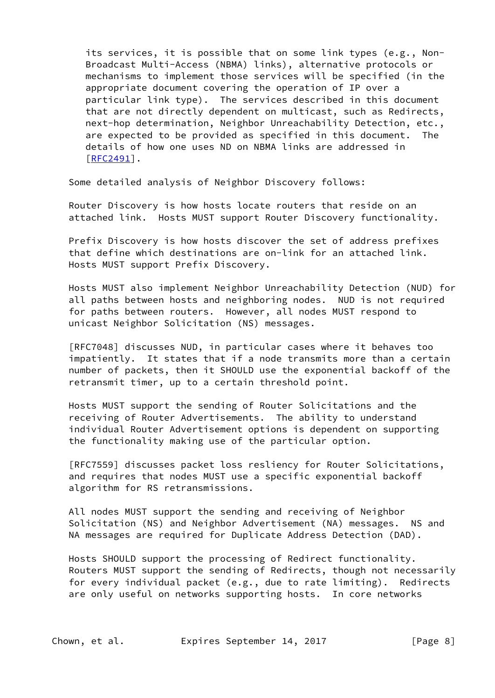its services, it is possible that on some link types (e.g., Non- Broadcast Multi-Access (NBMA) links), alternative protocols or mechanisms to implement those services will be specified (in the appropriate document covering the operation of IP over a particular link type). The services described in this document that are not directly dependent on multicast, such as Redirects, next-hop determination, Neighbor Unreachability Detection, etc., are expected to be provided as specified in this document. The details of how one uses ND on NBMA links are addressed in [[RFC2491\]](https://datatracker.ietf.org/doc/pdf/rfc2491).

Some detailed analysis of Neighbor Discovery follows:

 Router Discovery is how hosts locate routers that reside on an attached link. Hosts MUST support Router Discovery functionality.

 Prefix Discovery is how hosts discover the set of address prefixes that define which destinations are on-link for an attached link. Hosts MUST support Prefix Discovery.

 Hosts MUST also implement Neighbor Unreachability Detection (NUD) for all paths between hosts and neighboring nodes. NUD is not required for paths between routers. However, all nodes MUST respond to unicast Neighbor Solicitation (NS) messages.

 [RFC7048] discusses NUD, in particular cases where it behaves too impatiently. It states that if a node transmits more than a certain number of packets, then it SHOULD use the exponential backoff of the retransmit timer, up to a certain threshold point.

 Hosts MUST support the sending of Router Solicitations and the receiving of Router Advertisements. The ability to understand individual Router Advertisement options is dependent on supporting the functionality making use of the particular option.

 [RFC7559] discusses packet loss resliency for Router Solicitations, and requires that nodes MUST use a specific exponential backoff algorithm for RS retransmissions.

 All nodes MUST support the sending and receiving of Neighbor Solicitation (NS) and Neighbor Advertisement (NA) messages. NS and NA messages are required for Duplicate Address Detection (DAD).

 Hosts SHOULD support the processing of Redirect functionality. Routers MUST support the sending of Redirects, though not necessarily for every individual packet (e.g., due to rate limiting). Redirects are only useful on networks supporting hosts. In core networks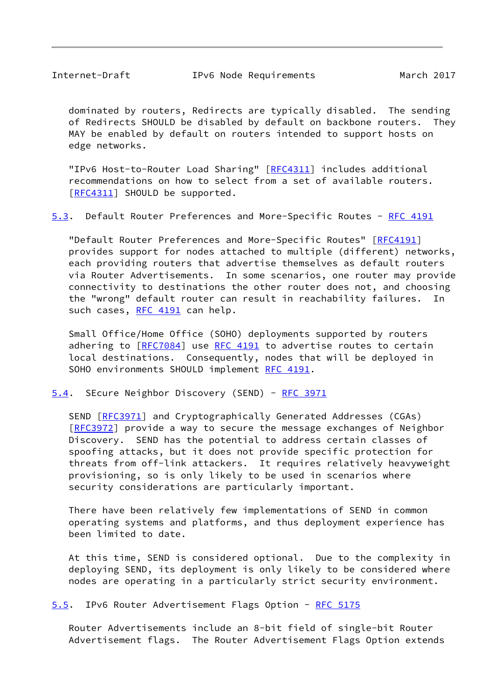<span id="page-9-0"></span> dominated by routers, Redirects are typically disabled. The sending of Redirects SHOULD be disabled by default on backbone routers. They MAY be enabled by default on routers intended to support hosts on edge networks.

"IPv6 Host-to-Router Load Sharing" [[RFC4311\]](https://datatracker.ietf.org/doc/pdf/rfc4311) includes additional recommendations on how to select from a set of available routers. [\[RFC4311](https://datatracker.ietf.org/doc/pdf/rfc4311)] SHOULD be supported.

<span id="page-9-2"></span>[5.3](#page-9-2). Default Router Preferences and More-Specific Routes - [RFC 4191](https://datatracker.ietf.org/doc/pdf/rfc4191)

 "Default Router Preferences and More-Specific Routes" [[RFC4191](https://datatracker.ietf.org/doc/pdf/rfc4191)] provides support for nodes attached to multiple (different) networks, each providing routers that advertise themselves as default routers via Router Advertisements. In some scenarios, one router may provide connectivity to destinations the other router does not, and choosing the "wrong" default router can result in reachability failures. In such cases, [RFC 4191](https://datatracker.ietf.org/doc/pdf/rfc4191) can help.

 Small Office/Home Office (SOHO) deployments supported by routers adhering to [\[RFC7084](https://datatracker.ietf.org/doc/pdf/rfc7084)] use [RFC 4191](https://datatracker.ietf.org/doc/pdf/rfc4191) to advertise routes to certain local destinations. Consequently, nodes that will be deployed in SOHO environments SHOULD implement [RFC 4191.](https://datatracker.ietf.org/doc/pdf/rfc4191)

<span id="page-9-1"></span>[5.4](#page-9-1). SEcure Neighbor Discovery (SEND) - [RFC 3971](https://datatracker.ietf.org/doc/pdf/rfc3971)

SEND [\[RFC3971](https://datatracker.ietf.org/doc/pdf/rfc3971)] and Cryptographically Generated Addresses (CGAs) [\[RFC3972](https://datatracker.ietf.org/doc/pdf/rfc3972)] provide a way to secure the message exchanges of Neighbor Discovery. SEND has the potential to address certain classes of spoofing attacks, but it does not provide specific protection for threats from off-link attackers. It requires relatively heavyweight provisioning, so is only likely to be used in scenarios where security considerations are particularly important.

 There have been relatively few implementations of SEND in common operating systems and platforms, and thus deployment experience has been limited to date.

 At this time, SEND is considered optional. Due to the complexity in deploying SEND, its deployment is only likely to be considered where nodes are operating in a particularly strict security environment.

<span id="page-9-3"></span>[5.5](#page-9-3). IPv6 Router Advertisement Flags Option - [RFC 5175](https://datatracker.ietf.org/doc/pdf/rfc5175)

 Router Advertisements include an 8-bit field of single-bit Router Advertisement flags. The Router Advertisement Flags Option extends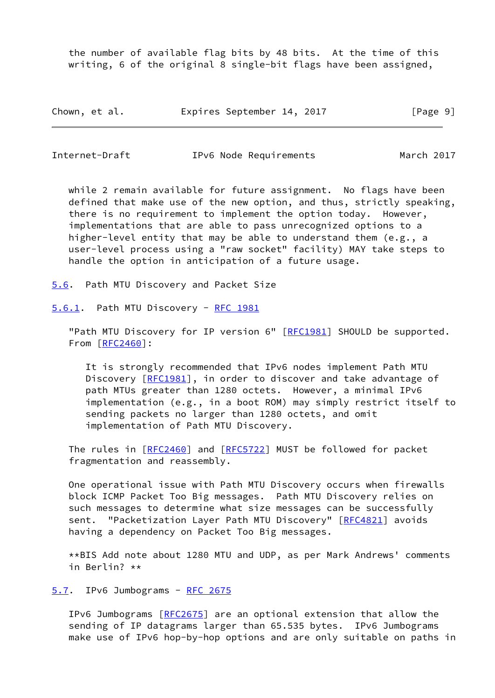the number of available flag bits by 48 bits. At the time of this writing, 6 of the original 8 single-bit flags have been assigned,

| Chown, et al. |  | Expires September 14, 2017 |  |  |  | [Page 9] |  |
|---------------|--|----------------------------|--|--|--|----------|--|
|---------------|--|----------------------------|--|--|--|----------|--|

<span id="page-10-1"></span>Internet-Draft IPv6 Node Requirements March 2017

while 2 remain available for future assignment. No flags have been defined that make use of the new option, and thus, strictly speaking, there is no requirement to implement the option today. However, implementations that are able to pass unrecognized options to a higher-level entity that may be able to understand them (e.g., a user-level process using a "raw socket" facility) MAY take steps to handle the option in anticipation of a future usage.

<span id="page-10-0"></span>[5.6](#page-10-0). Path MTU Discovery and Packet Size

<span id="page-10-2"></span>[5.6.1](#page-10-2). Path MTU Discovery - [RFC 1981](https://datatracker.ietf.org/doc/pdf/rfc1981)

"Path MTU Discovery for IP version 6" [[RFC1981](https://datatracker.ietf.org/doc/pdf/rfc1981)] SHOULD be supported. From [\[RFC2460](https://datatracker.ietf.org/doc/pdf/rfc2460)]:

 It is strongly recommended that IPv6 nodes implement Path MTU Discovery [\[RFC1981](https://datatracker.ietf.org/doc/pdf/rfc1981)], in order to discover and take advantage of path MTUs greater than 1280 octets. However, a minimal IPv6 implementation (e.g., in a boot ROM) may simply restrict itself to sending packets no larger than 1280 octets, and omit implementation of Path MTU Discovery.

 The rules in [\[RFC2460](https://datatracker.ietf.org/doc/pdf/rfc2460)] and [[RFC5722\]](https://datatracker.ietf.org/doc/pdf/rfc5722) MUST be followed for packet fragmentation and reassembly.

 One operational issue with Path MTU Discovery occurs when firewalls block ICMP Packet Too Big messages. Path MTU Discovery relies on such messages to determine what size messages can be successfully sent. "Packetization Layer Path MTU Discovery" [\[RFC4821](https://datatracker.ietf.org/doc/pdf/rfc4821)] avoids having a dependency on Packet Too Big messages.

 \*\*BIS Add note about 1280 MTU and UDP, as per Mark Andrews' comments in Berlin? \*\*

<span id="page-10-3"></span>[5.7](#page-10-3). IPv6 Jumbograms - [RFC 2675](https://datatracker.ietf.org/doc/pdf/rfc2675)

 IPv6 Jumbograms [\[RFC2675](https://datatracker.ietf.org/doc/pdf/rfc2675)] are an optional extension that allow the sending of IP datagrams larger than 65.535 bytes. IPv6 Jumbograms make use of IPv6 hop-by-hop options and are only suitable on paths in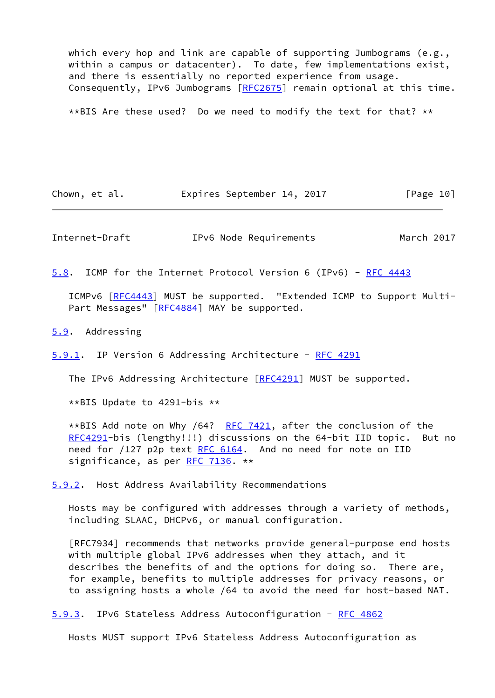which every hop and link are capable of supporting Jumbograms (e.g., within a campus or datacenter). To date, few implementations exist, and there is essentially no reported experience from usage. Consequently, IPv6 Jumbograms [[RFC2675](https://datatracker.ietf.org/doc/pdf/rfc2675)] remain optional at this time.

\*\*BIS Are these used? Do we need to modify the text for that? \*\*

Chown, et al. **Expires September 14, 2017** [Page 10]

<span id="page-11-0"></span>Internet-Draft IPv6 Node Requirements March 2017

<span id="page-11-4"></span>[5.8](#page-11-4). ICMP for the Internet Protocol Version 6 (IPv6) - [RFC 4443](https://datatracker.ietf.org/doc/pdf/rfc4443)

 ICMPv6 [\[RFC4443](https://datatracker.ietf.org/doc/pdf/rfc4443)] MUST be supported. "Extended ICMP to Support Multi- Part Messages" [\[RFC4884](https://datatracker.ietf.org/doc/pdf/rfc4884)] MAY be supported.

<span id="page-11-1"></span>[5.9](#page-11-1). Addressing

<span id="page-11-2"></span>[5.9.1](#page-11-2). IP Version 6 Addressing Architecture - [RFC 4291](https://datatracker.ietf.org/doc/pdf/rfc4291)

The IPv6 Addressing Architecture [\[RFC4291](https://datatracker.ietf.org/doc/pdf/rfc4291)] MUST be supported.

\*\*BIS Update to 4291-bis \*\*

\*\*BIS Add note on Why /64? [RFC 7421,](https://datatracker.ietf.org/doc/pdf/rfc7421) after the conclusion of the [RFC4291](https://datatracker.ietf.org/doc/pdf/rfc4291)-bis (lengthy!!!) discussions on the 64-bit IID topic. But no need for /127 p2p text [RFC 6164.](https://datatracker.ietf.org/doc/pdf/rfc6164) And no need for note on IID significance, as per [RFC 7136](https://datatracker.ietf.org/doc/pdf/rfc7136). \*\*

<span id="page-11-3"></span>[5.9.2](#page-11-3). Host Address Availability Recommendations

 Hosts may be configured with addresses through a variety of methods, including SLAAC, DHCPv6, or manual configuration.

 [RFC7934] recommends that networks provide general-purpose end hosts with multiple global IPv6 addresses when they attach, and it describes the benefits of and the options for doing so. There are, for example, benefits to multiple addresses for privacy reasons, or to assigning hosts a whole /64 to avoid the need for host-based NAT.

<span id="page-11-5"></span>[5.9.3](#page-11-5). IPv6 Stateless Address Autoconfiguration - [RFC 4862](https://datatracker.ietf.org/doc/pdf/rfc4862)

Hosts MUST support IPv6 Stateless Address Autoconfiguration as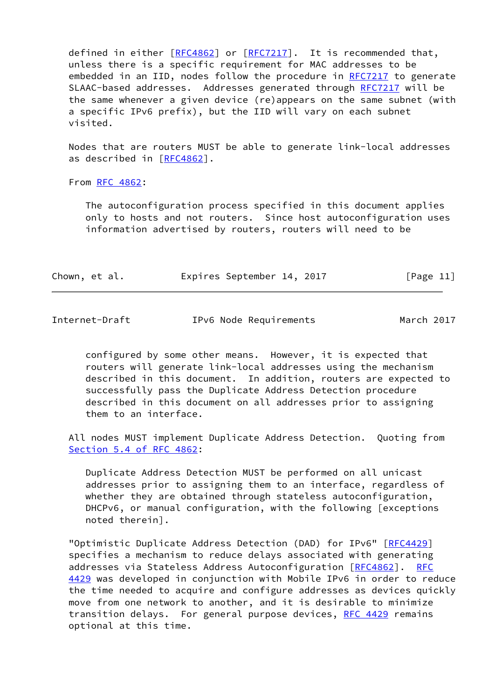defined in either [[RFC4862](https://datatracker.ietf.org/doc/pdf/rfc4862)] or [\[RFC7217](https://datatracker.ietf.org/doc/pdf/rfc7217)]. It is recommended that, unless there is a specific requirement for MAC addresses to be embedded in an IID, nodes follow the procedure in [RFC7217](https://datatracker.ietf.org/doc/pdf/rfc7217) to generate SLAAC-based addresses. Addresses generated through [RFC7217](https://datatracker.ietf.org/doc/pdf/rfc7217) will be the same whenever a given device (re)appears on the same subnet (with a specific IPv6 prefix), but the IID will vary on each subnet visited.

 Nodes that are routers MUST be able to generate link-local addresses as described in [\[RFC4862](https://datatracker.ietf.org/doc/pdf/rfc4862)].

From [RFC 4862](https://datatracker.ietf.org/doc/pdf/rfc4862):

 The autoconfiguration process specified in this document applies only to hosts and not routers. Since host autoconfiguration uses information advertised by routers, routers will need to be

| Chown, et al. |  | Expires September 14, 2017 |  | [Page 11] |
|---------------|--|----------------------------|--|-----------|
|---------------|--|----------------------------|--|-----------|

<span id="page-12-0"></span>Internet-Draft IPv6 Node Requirements March 2017

 configured by some other means. However, it is expected that routers will generate link-local addresses using the mechanism described in this document. In addition, routers are expected to successfully pass the Duplicate Address Detection procedure described in this document on all addresses prior to assigning them to an interface.

 All nodes MUST implement Duplicate Address Detection. Quoting from Section [5.4 of RFC 4862](https://datatracker.ietf.org/doc/pdf/rfc4862#section-5.4):

 Duplicate Address Detection MUST be performed on all unicast addresses prior to assigning them to an interface, regardless of whether they are obtained through stateless autoconfiguration, DHCPv6, or manual configuration, with the following [exceptions noted therein].

 "Optimistic Duplicate Address Detection (DAD) for IPv6" [\[RFC4429](https://datatracker.ietf.org/doc/pdf/rfc4429)] specifies a mechanism to reduce delays associated with generating addresses via Stateless Address Autoconfiguration [[RFC4862](https://datatracker.ietf.org/doc/pdf/rfc4862)]. [RFC](https://datatracker.ietf.org/doc/pdf/rfc4429) [4429](https://datatracker.ietf.org/doc/pdf/rfc4429) was developed in conjunction with Mobile IPv6 in order to reduce the time needed to acquire and configure addresses as devices quickly move from one network to another, and it is desirable to minimize transition delays. For general purpose devices, [RFC 4429](https://datatracker.ietf.org/doc/pdf/rfc4429) remains optional at this time.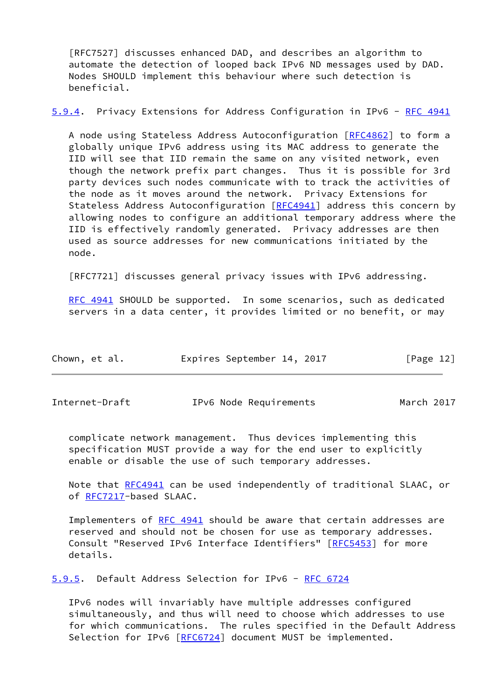[RFC7527] discusses enhanced DAD, and describes an algorithm to automate the detection of looped back IPv6 ND messages used by DAD. Nodes SHOULD implement this behaviour where such detection is beneficial.

<span id="page-13-2"></span>[5.9.4](#page-13-2). Privacy Extensions for Address Configuration in IPv6 - [RFC 4941](https://datatracker.ietf.org/doc/pdf/rfc4941)

A node using Stateless Address Autoconfiguration [\[RFC4862](https://datatracker.ietf.org/doc/pdf/rfc4862)] to form a globally unique IPv6 address using its MAC address to generate the IID will see that IID remain the same on any visited network, even though the network prefix part changes. Thus it is possible for 3rd party devices such nodes communicate with to track the activities of the node as it moves around the network. Privacy Extensions for Stateless Address Autoconfiguration [\[RFC4941](https://datatracker.ietf.org/doc/pdf/rfc4941)] address this concern by allowing nodes to configure an additional temporary address where the IID is effectively randomly generated. Privacy addresses are then used as source addresses for new communications initiated by the node.

[RFC7721] discusses general privacy issues with IPv6 addressing.

[RFC 4941](https://datatracker.ietf.org/doc/pdf/rfc4941) SHOULD be supported. In some scenarios, such as dedicated servers in a data center, it provides limited or no benefit, or may

| Chown, et al. |  |  |  | Expires September 14, 2017 |  |  | [Page 12] |
|---------------|--|--|--|----------------------------|--|--|-----------|
|---------------|--|--|--|----------------------------|--|--|-----------|

<span id="page-13-1"></span>Internet-Draft IPv6 Node Requirements March 2017

 complicate network management. Thus devices implementing this specification MUST provide a way for the end user to explicitly enable or disable the use of such temporary addresses.

Note that [RFC4941](https://datatracker.ietf.org/doc/pdf/rfc4941) can be used independently of traditional SLAAC, or of [RFC7217](https://datatracker.ietf.org/doc/pdf/rfc7217)-based SLAAC.

Implementers of [RFC 4941](https://datatracker.ietf.org/doc/pdf/rfc4941) should be aware that certain addresses are reserved and should not be chosen for use as temporary addresses. Consult "Reserved IPv6 Interface Identifiers" [[RFC5453](https://datatracker.ietf.org/doc/pdf/rfc5453)] for more details.

<span id="page-13-0"></span>[5.9.5](#page-13-0). Default Address Selection for IPv6 - [RFC 6724](https://datatracker.ietf.org/doc/pdf/rfc6724)

 IPv6 nodes will invariably have multiple addresses configured simultaneously, and thus will need to choose which addresses to use for which communications. The rules specified in the Default Address Selection for IPv6 [[RFC6724\]](https://datatracker.ietf.org/doc/pdf/rfc6724) document MUST be implemented.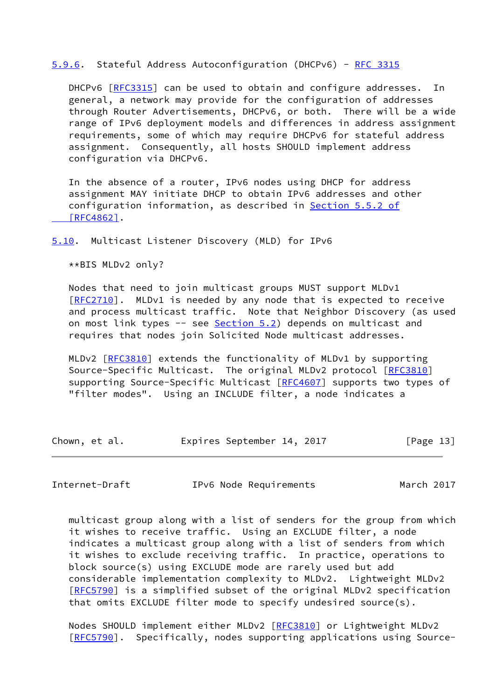#### <span id="page-14-2"></span>[5.9.6](#page-14-2). Stateful Address Autoconfiguration (DHCPv6) - [RFC 3315](https://datatracker.ietf.org/doc/pdf/rfc3315)

 DHCPv6 [\[RFC3315](https://datatracker.ietf.org/doc/pdf/rfc3315)] can be used to obtain and configure addresses. In general, a network may provide for the configuration of addresses through Router Advertisements, DHCPv6, or both. There will be a wide range of IPv6 deployment models and differences in address assignment requirements, some of which may require DHCPv6 for stateful address assignment. Consequently, all hosts SHOULD implement address configuration via DHCPv6.

 In the absence of a router, IPv6 nodes using DHCP for address assignment MAY initiate DHCP to obtain IPv6 addresses and other configuration information, as described in Section [5.5.2 of](https://datatracker.ietf.org/doc/pdf/rfc4862#section-5.5.2)  [\[RFC4862\]](https://datatracker.ietf.org/doc/pdf/rfc4862#section-5.5.2).

<span id="page-14-0"></span>[5.10](#page-14-0). Multicast Listener Discovery (MLD) for IPv6

\*\*BIS MLDv2 only?

 Nodes that need to join multicast groups MUST support MLDv1 [\[RFC2710](https://datatracker.ietf.org/doc/pdf/rfc2710)]. MLDv1 is needed by any node that is expected to receive and process multicast traffic. Note that Neighbor Discovery (as used on most link types -- see [Section 5.2](#page-7-0)) depends on multicast and requires that nodes join Solicited Node multicast addresses.

MLDv2 [[RFC3810](https://datatracker.ietf.org/doc/pdf/rfc3810)] extends the functionality of MLDv1 by supporting Source-Specific Multicast. The original MLDv2 protocol [\[RFC3810](https://datatracker.ietf.org/doc/pdf/rfc3810)] supporting Source-Specific Multicast [\[RFC4607](https://datatracker.ietf.org/doc/pdf/rfc4607)] supports two types of "filter modes". Using an INCLUDE filter, a node indicates a

| Chown, et al. | Expires September 14, 2017 | [Page 13] |
|---------------|----------------------------|-----------|
|---------------|----------------------------|-----------|

<span id="page-14-1"></span>Internet-Draft IPv6 Node Requirements March 2017

 multicast group along with a list of senders for the group from which it wishes to receive traffic. Using an EXCLUDE filter, a node indicates a multicast group along with a list of senders from which it wishes to exclude receiving traffic. In practice, operations to block source(s) using EXCLUDE mode are rarely used but add considerable implementation complexity to MLDv2. Lightweight MLDv2 [\[RFC5790](https://datatracker.ietf.org/doc/pdf/rfc5790)] is a simplified subset of the original MLDv2 specification that omits EXCLUDE filter mode to specify undesired source(s).

 Nodes SHOULD implement either MLDv2 [\[RFC3810](https://datatracker.ietf.org/doc/pdf/rfc3810)] or Lightweight MLDv2 [\[RFC5790](https://datatracker.ietf.org/doc/pdf/rfc5790)]. Specifically, nodes supporting applications using Source-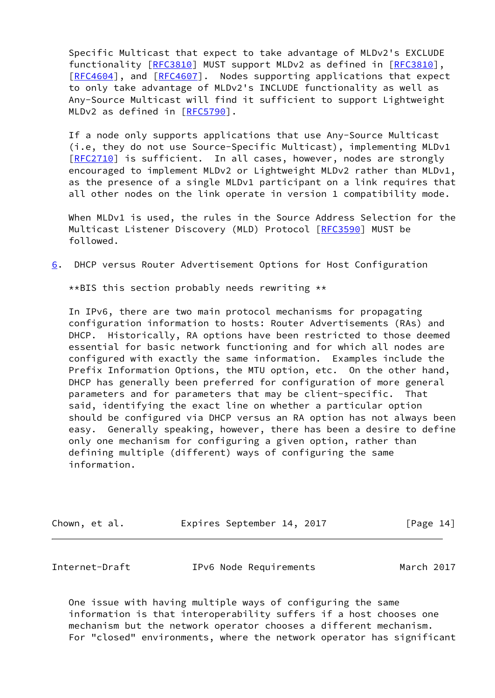Specific Multicast that expect to take advantage of MLDv2's EXCLUDE functionality [[RFC3810](https://datatracker.ietf.org/doc/pdf/rfc3810)] MUST support MLDv2 as defined in [\[RFC3810](https://datatracker.ietf.org/doc/pdf/rfc3810)], [\[RFC4604](https://datatracker.ietf.org/doc/pdf/rfc4604)], and [\[RFC4607](https://datatracker.ietf.org/doc/pdf/rfc4607)]. Nodes supporting applications that expect to only take advantage of MLDv2's INCLUDE functionality as well as Any-Source Multicast will find it sufficient to support Lightweight MLDv2 as defined in [\[RFC5790](https://datatracker.ietf.org/doc/pdf/rfc5790)].

 If a node only supports applications that use Any-Source Multicast (i.e, they do not use Source-Specific Multicast), implementing MLDv1 [\[RFC2710](https://datatracker.ietf.org/doc/pdf/rfc2710)] is sufficient. In all cases, however, nodes are strongly encouraged to implement MLDv2 or Lightweight MLDv2 rather than MLDv1, as the presence of a single MLDv1 participant on a link requires that all other nodes on the link operate in version 1 compatibility mode.

When MLDv1 is used, the rules in the Source Address Selection for the Multicast Listener Discovery (MLD) Protocol [\[RFC3590](https://datatracker.ietf.org/doc/pdf/rfc3590)] MUST be followed.

<span id="page-15-1"></span>[6](#page-15-1). DHCP versus Router Advertisement Options for Host Configuration

\*\*BIS this section probably needs rewriting \*\*

 In IPv6, there are two main protocol mechanisms for propagating configuration information to hosts: Router Advertisements (RAs) and DHCP. Historically, RA options have been restricted to those deemed essential for basic network functioning and for which all nodes are configured with exactly the same information. Examples include the Prefix Information Options, the MTU option, etc. On the other hand, DHCP has generally been preferred for configuration of more general parameters and for parameters that may be client-specific. That said, identifying the exact line on whether a particular option should be configured via DHCP versus an RA option has not always been easy. Generally speaking, however, there has been a desire to define only one mechanism for configuring a given option, rather than defining multiple (different) ways of configuring the same information.

| Chown, et al. |  | Expires September 14, 2017 |  | [Page 14] |
|---------------|--|----------------------------|--|-----------|
|---------------|--|----------------------------|--|-----------|

<span id="page-15-0"></span>

|  | Internet-Draft | IPv6 Node Requirements | March 2017 |
|--|----------------|------------------------|------------|
|--|----------------|------------------------|------------|

 One issue with having multiple ways of configuring the same information is that interoperability suffers if a host chooses one mechanism but the network operator chooses a different mechanism. For "closed" environments, where the network operator has significant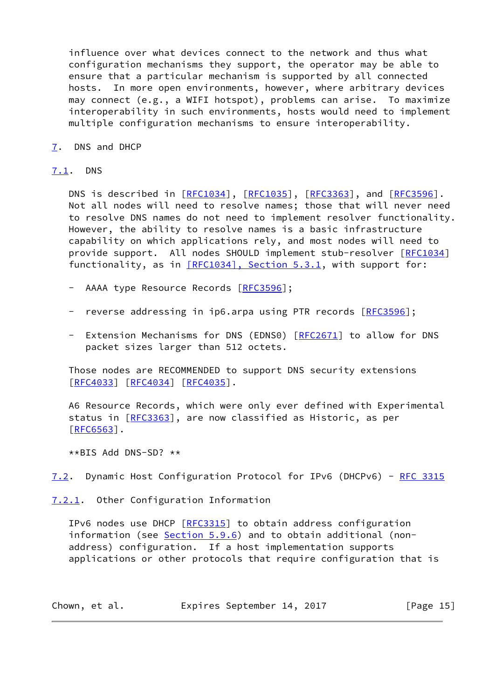influence over what devices connect to the network and thus what configuration mechanisms they support, the operator may be able to ensure that a particular mechanism is supported by all connected hosts. In more open environments, however, where arbitrary devices may connect (e.g., a WIFI hotspot), problems can arise. To maximize interoperability in such environments, hosts would need to implement multiple configuration mechanisms to ensure interoperability.

<span id="page-16-0"></span>[7](#page-16-0). DNS and DHCP

#### <span id="page-16-1"></span>[7.1](#page-16-1). DNS

DNS is described in [\[RFC1034](https://datatracker.ietf.org/doc/pdf/rfc1034)], [\[RFC1035](https://datatracker.ietf.org/doc/pdf/rfc1035)], [[RFC3363](https://datatracker.ietf.org/doc/pdf/rfc3363)], and [\[RFC3596](https://datatracker.ietf.org/doc/pdf/rfc3596)]. Not all nodes will need to resolve names; those that will never need to resolve DNS names do not need to implement resolver functionality. However, the ability to resolve names is a basic infrastructure capability on which applications rely, and most nodes will need to provide support. All nodes SHOULD implement stub-resolver [[RFC1034\]](https://datatracker.ietf.org/doc/pdf/rfc1034) functionality, as in  $[REC1034]$ , Section 5.3.1, with support for:

- AAAA type Resource Records [[RFC3596](https://datatracker.ietf.org/doc/pdf/rfc3596)];
- reverse addressing in ip6.arpa using PTR records [\[RFC3596](https://datatracker.ietf.org/doc/pdf/rfc3596)];
- Extension Mechanisms for DNS (EDNS0) [\[RFC2671](https://datatracker.ietf.org/doc/pdf/rfc2671)] to allow for DNS packet sizes larger than 512 octets.

 Those nodes are RECOMMENDED to support DNS security extensions [\[RFC4033](https://datatracker.ietf.org/doc/pdf/rfc4033)] [[RFC4034](https://datatracker.ietf.org/doc/pdf/rfc4034)] [\[RFC4035](https://datatracker.ietf.org/doc/pdf/rfc4035)].

 A6 Resource Records, which were only ever defined with Experimental status in [[RFC3363](https://datatracker.ietf.org/doc/pdf/rfc3363)], are now classified as Historic, as per  $[REG563]$ .

\*\*BIS Add DNS-SD? \*\*

<span id="page-16-3"></span>[7.2](#page-16-3). Dynamic Host Configuration Protocol for IPv6 (DHCPv6) - [RFC 3315](https://datatracker.ietf.org/doc/pdf/rfc3315)

<span id="page-16-2"></span>[7.2.1](#page-16-2). Other Configuration Information

IPv6 nodes use DHCP [\[RFC3315](https://datatracker.ietf.org/doc/pdf/rfc3315)] to obtain address configuration information (see [Section 5.9.6](#page-14-2)) and to obtain additional (non address) configuration. If a host implementation supports applications or other protocols that require configuration that is

| Chown, et al. | Expires September 14, 2017 | [Page 15] |
|---------------|----------------------------|-----------|
|---------------|----------------------------|-----------|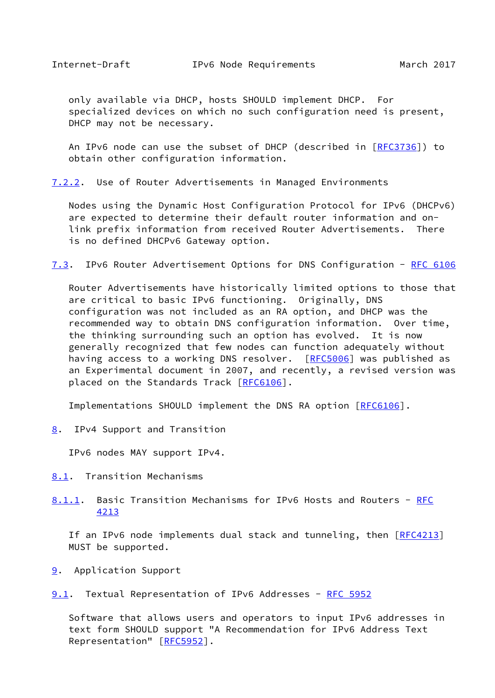<span id="page-17-0"></span> only available via DHCP, hosts SHOULD implement DHCP. For specialized devices on which no such configuration need is present, DHCP may not be necessary.

An IPv6 node can use the subset of DHCP (described in [[RFC3736](https://datatracker.ietf.org/doc/pdf/rfc3736)]) to obtain other configuration information.

<span id="page-17-4"></span>[7.2.2](#page-17-4). Use of Router Advertisements in Managed Environments

 Nodes using the Dynamic Host Configuration Protocol for IPv6 (DHCPv6) are expected to determine their default router information and on link prefix information from received Router Advertisements. There is no defined DHCPv6 Gateway option.

<span id="page-17-5"></span>[7.3](#page-17-5). IPv6 Router Advertisement Options for DNS Configuration - [RFC 6106](https://datatracker.ietf.org/doc/pdf/rfc6106)

 Router Advertisements have historically limited options to those that are critical to basic IPv6 functioning. Originally, DNS configuration was not included as an RA option, and DHCP was the recommended way to obtain DNS configuration information. Over time, the thinking surrounding such an option has evolved. It is now generally recognized that few nodes can function adequately without having access to a working DNS resolver. [[RFC5006](https://datatracker.ietf.org/doc/pdf/rfc5006)] was published as an Experimental document in 2007, and recently, a revised version was placed on the Standards Track [[RFC6106](https://datatracker.ietf.org/doc/pdf/rfc6106)].

Implementations SHOULD implement the DNS RA option [[RFC6106\]](https://datatracker.ietf.org/doc/pdf/rfc6106).

<span id="page-17-1"></span>[8](#page-17-1). IPv4 Support and Transition

IPv6 nodes MAY support IPv4.

- <span id="page-17-2"></span>[8.1](#page-17-2). Transition Mechanisms
- <span id="page-17-6"></span>[8.1.1](#page-17-6). Basic Transition Mechanisms for IPv6 Hosts and Routers - [RFC](https://datatracker.ietf.org/doc/pdf/rfc4213) [4213](https://datatracker.ietf.org/doc/pdf/rfc4213)

If an IPv6 node implements dual stack and tunneling, then [[RFC4213](https://datatracker.ietf.org/doc/pdf/rfc4213)] MUST be supported.

<span id="page-17-3"></span>[9](#page-17-3). Application Support

<span id="page-17-7"></span>[9.1](#page-17-7). Textual Representation of IPv6 Addresses - [RFC 5952](https://datatracker.ietf.org/doc/pdf/rfc5952)

 Software that allows users and operators to input IPv6 addresses in text form SHOULD support "A Recommendation for IPv6 Address Text Representation" [\[RFC5952](https://datatracker.ietf.org/doc/pdf/rfc5952)].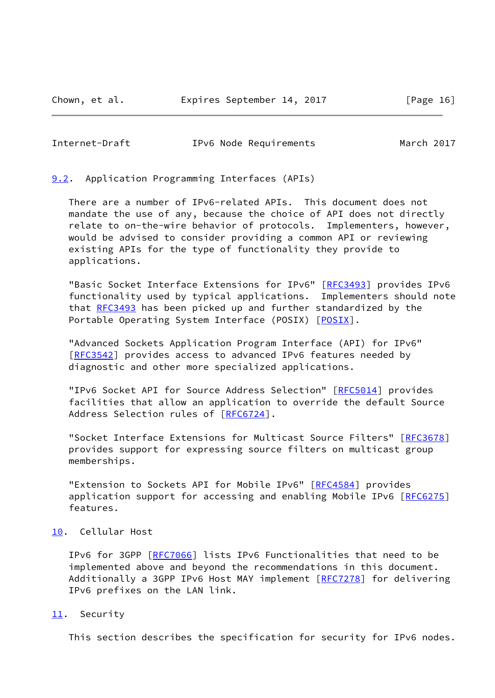<span id="page-18-1"></span>Internet-Draft IPv6 Node Requirements March 2017

<span id="page-18-0"></span>[9.2](#page-18-0). Application Programming Interfaces (APIs)

 There are a number of IPv6-related APIs. This document does not mandate the use of any, because the choice of API does not directly relate to on-the-wire behavior of protocols. Implementers, however, would be advised to consider providing a common API or reviewing existing APIs for the type of functionality they provide to applications.

 "Basic Socket Interface Extensions for IPv6" [\[RFC3493](https://datatracker.ietf.org/doc/pdf/rfc3493)] provides IPv6 functionality used by typical applications. Implementers should note that [RFC3493](https://datatracker.ietf.org/doc/pdf/rfc3493) has been picked up and further standardized by the Portable Operating System Interface (POSIX) [\[POSIX](#page-36-2)].

 "Advanced Sockets Application Program Interface (API) for IPv6" [\[RFC3542](https://datatracker.ietf.org/doc/pdf/rfc3542)] provides access to advanced IPv6 features needed by diagnostic and other more specialized applications.

"IPv6 Socket API for Source Address Selection" [\[RFC5014](https://datatracker.ietf.org/doc/pdf/rfc5014)] provides facilities that allow an application to override the default Source Address Selection rules of [[RFC6724\]](https://datatracker.ietf.org/doc/pdf/rfc6724).

 "Socket Interface Extensions for Multicast Source Filters" [[RFC3678\]](https://datatracker.ietf.org/doc/pdf/rfc3678) provides support for expressing source filters on multicast group memberships.

"Extension to Sockets API for Mobile IPv6" [[RFC4584\]](https://datatracker.ietf.org/doc/pdf/rfc4584) provides application support for accessing and enabling Mobile IPv6 [[RFC6275\]](https://datatracker.ietf.org/doc/pdf/rfc6275) features.

# <span id="page-18-2"></span>[10.](#page-18-2) Cellular Host

 IPv6 for 3GPP [[RFC7066](https://datatracker.ietf.org/doc/pdf/rfc7066)] lists IPv6 Functionalities that need to be implemented above and beyond the recommendations in this document. Additionally a 3GPP IPv6 Host MAY implement [\[RFC7278](https://datatracker.ietf.org/doc/pdf/rfc7278)] for delivering IPv6 prefixes on the LAN link.

## <span id="page-18-3"></span>[11.](#page-18-3) Security

This section describes the specification for security for IPv6 nodes.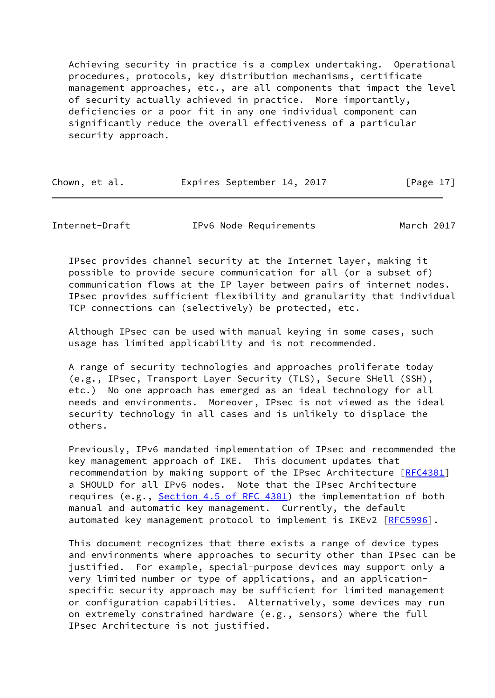Achieving security in practice is a complex undertaking. Operational procedures, protocols, key distribution mechanisms, certificate management approaches, etc., are all components that impact the level of security actually achieved in practice. More importantly, deficiencies or a poor fit in any one individual component can significantly reduce the overall effectiveness of a particular security approach.

| Chown, et al. | Expires September 14, 2017 | [Page 17] |
|---------------|----------------------------|-----------|
|               |                            |           |

<span id="page-19-0"></span>Internet-Draft IPv6 Node Requirements March 2017

 IPsec provides channel security at the Internet layer, making it possible to provide secure communication for all (or a subset of) communication flows at the IP layer between pairs of internet nodes. IPsec provides sufficient flexibility and granularity that individual TCP connections can (selectively) be protected, etc.

 Although IPsec can be used with manual keying in some cases, such usage has limited applicability and is not recommended.

 A range of security technologies and approaches proliferate today (e.g., IPsec, Transport Layer Security (TLS), Secure SHell (SSH), etc.) No one approach has emerged as an ideal technology for all needs and environments. Moreover, IPsec is not viewed as the ideal security technology in all cases and is unlikely to displace the others.

 Previously, IPv6 mandated implementation of IPsec and recommended the key management approach of IKE. This document updates that recommendation by making support of the IPsec Architecture [[RFC4301\]](https://datatracker.ietf.org/doc/pdf/rfc4301) a SHOULD for all IPv6 nodes. Note that the IPsec Architecture requires (e.g., Section [4.5 of RFC 4301](https://datatracker.ietf.org/doc/pdf/rfc4301#section-4.5)) the implementation of both manual and automatic key management. Currently, the default automated key management protocol to implement is IKEv2 [\[RFC5996](https://datatracker.ietf.org/doc/pdf/rfc5996)].

 This document recognizes that there exists a range of device types and environments where approaches to security other than IPsec can be justified. For example, special-purpose devices may support only a very limited number or type of applications, and an application specific security approach may be sufficient for limited management or configuration capabilities. Alternatively, some devices may run on extremely constrained hardware (e.g., sensors) where the full IPsec Architecture is not justified.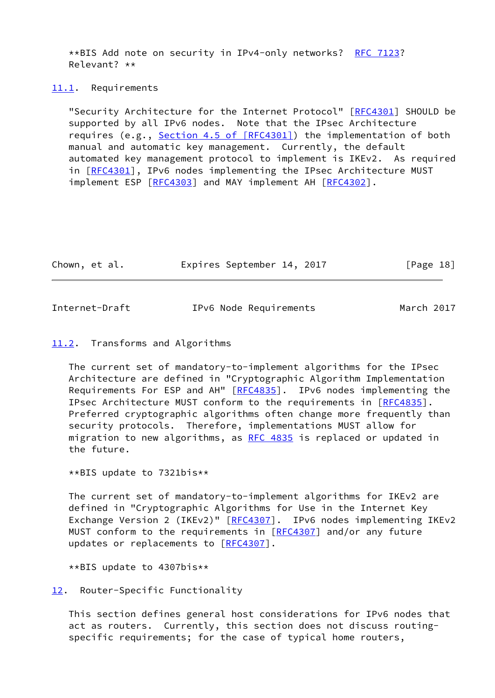\*\*BIS Add note on security in IPv4-only networks? [RFC 7123?](https://datatracker.ietf.org/doc/pdf/rfc7123) Relevant? \*\*

#### <span id="page-20-0"></span>[11.1](#page-20-0). Requirements

 "Security Architecture for the Internet Protocol" [[RFC4301](https://datatracker.ietf.org/doc/pdf/rfc4301)] SHOULD be supported by all IPv6 nodes. Note that the IPsec Architecture requires (e.g., Section [4.5 of \[RFC4301\]](https://datatracker.ietf.org/doc/pdf/rfc4301#section-4.5)) the implementation of both manual and automatic key management. Currently, the default automated key management protocol to implement is IKEv2. As required in [[RFC4301\]](https://datatracker.ietf.org/doc/pdf/rfc4301), IPv6 nodes implementing the IPsec Architecture MUST implement ESP [[RFC4303](https://datatracker.ietf.org/doc/pdf/rfc4303)] and MAY implement AH [\[RFC4302](https://datatracker.ietf.org/doc/pdf/rfc4302)].

| Chown, et al. | Expires September 14, 2017 | [Page 18] |
|---------------|----------------------------|-----------|
|               |                            |           |

<span id="page-20-2"></span>

| Internet-Draft | IPv6 Node Requirements | March 2017 |
|----------------|------------------------|------------|
|----------------|------------------------|------------|

#### <span id="page-20-1"></span>[11.2](#page-20-1). Transforms and Algorithms

 The current set of mandatory-to-implement algorithms for the IPsec Architecture are defined in "Cryptographic Algorithm Implementation Requirements For ESP and AH" [\[RFC4835](https://datatracker.ietf.org/doc/pdf/rfc4835)]. IPv6 nodes implementing the IPsec Architecture MUST conform to the requirements in [\[RFC4835](https://datatracker.ietf.org/doc/pdf/rfc4835)]. Preferred cryptographic algorithms often change more frequently than security protocols. Therefore, implementations MUST allow for migration to new algorithms, as [RFC 4835](https://datatracker.ietf.org/doc/pdf/rfc4835) is replaced or updated in the future.

\*\*BIS update to 7321bis\*\*

 The current set of mandatory-to-implement algorithms for IKEv2 are defined in "Cryptographic Algorithms for Use in the Internet Key Exchange Version 2 (IKEv2)" [\[RFC4307](https://datatracker.ietf.org/doc/pdf/rfc4307)]. IPv6 nodes implementing IKEv2 MUST conform to the requirements in [\[RFC4307](https://datatracker.ietf.org/doc/pdf/rfc4307)] and/or any future updates or replacements to [[RFC4307\]](https://datatracker.ietf.org/doc/pdf/rfc4307).

\*\*BIS update to 4307bis\*\*

<span id="page-20-3"></span>[12.](#page-20-3) Router-Specific Functionality

 This section defines general host considerations for IPv6 nodes that act as routers. Currently, this section does not discuss routing specific requirements; for the case of typical home routers,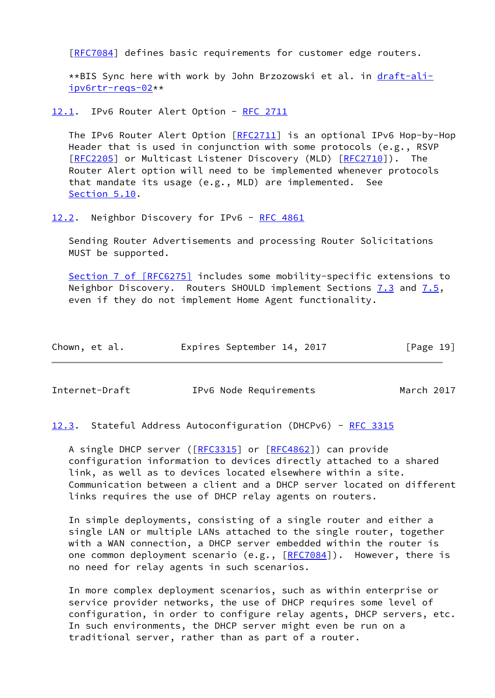[\[RFC7084](https://datatracker.ietf.org/doc/pdf/rfc7084)] defines basic requirements for customer edge routers.

 \*\*BIS Sync here with work by John Brzozowski et al. in [draft-ali](https://datatracker.ietf.org/doc/pdf/draft-ali-ipv6rtr-reqs-02) [ipv6rtr-reqs-02](https://datatracker.ietf.org/doc/pdf/draft-ali-ipv6rtr-reqs-02)\*\*

<span id="page-21-0"></span>[12.1](#page-21-0). IPv6 Router Alert Option - [RFC 2711](https://datatracker.ietf.org/doc/pdf/rfc2711)

The IPv6 Router Alert Option [\[RFC2711](https://datatracker.ietf.org/doc/pdf/rfc2711)] is an optional IPv6 Hop-by-Hop Header that is used in conjunction with some protocols (e.g., RSVP [\[RFC2205](https://datatracker.ietf.org/doc/pdf/rfc2205)] or Multicast Listener Discovery (MLD) [\[RFC2710](https://datatracker.ietf.org/doc/pdf/rfc2710)]). The Router Alert option will need to be implemented whenever protocols that mandate its usage (e.g., MLD) are implemented. See [Section 5.10](#page-14-0).

<span id="page-21-1"></span>[12.2](#page-21-1). Neighbor Discovery for IPv6 - [RFC 4861](https://datatracker.ietf.org/doc/pdf/rfc4861)

 Sending Router Advertisements and processing Router Solicitations MUST be supported.

 Section [7 of \[RFC6275\]](https://datatracker.ietf.org/doc/pdf/rfc6275#section-7) includes some mobility-specific extensions to Neighbor Discovery. Routers SHOULD implement Sections  $7.3$  and  $7.5$ , even if they do not implement Home Agent functionality.

| Chown, et al. | Expires September 14, 2017 | [Page 19] |
|---------------|----------------------------|-----------|
|---------------|----------------------------|-----------|

<span id="page-21-2"></span>Internet-Draft IPv6 Node Requirements March 2017

<span id="page-21-3"></span>[12.3](#page-21-3). Stateful Address Autoconfiguration (DHCPv6) - [RFC 3315](https://datatracker.ietf.org/doc/pdf/rfc3315)

 A single DHCP server ([[RFC3315](https://datatracker.ietf.org/doc/pdf/rfc3315)] or [[RFC4862\]](https://datatracker.ietf.org/doc/pdf/rfc4862)) can provide configuration information to devices directly attached to a shared link, as well as to devices located elsewhere within a site. Communication between a client and a DHCP server located on different links requires the use of DHCP relay agents on routers.

 In simple deployments, consisting of a single router and either a single LAN or multiple LANs attached to the single router, together with a WAN connection, a DHCP server embedded within the router is one common deployment scenario (e.g., [[RFC7084](https://datatracker.ietf.org/doc/pdf/rfc7084)]). However, there is no need for relay agents in such scenarios.

 In more complex deployment scenarios, such as within enterprise or service provider networks, the use of DHCP requires some level of configuration, in order to configure relay agents, DHCP servers, etc. In such environments, the DHCP server might even be run on a traditional server, rather than as part of a router.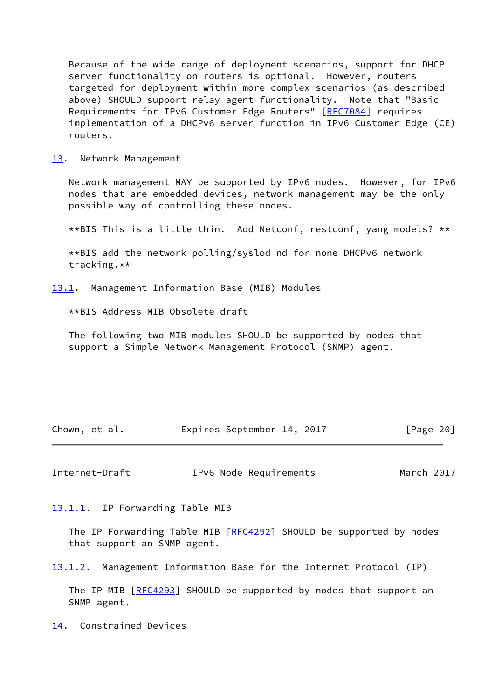Because of the wide range of deployment scenarios, support for DHCP server functionality on routers is optional. However, routers targeted for deployment within more complex scenarios (as described above) SHOULD support relay agent functionality. Note that "Basic Requirements for IPv6 Customer Edge Routers" [\[RFC7084](https://datatracker.ietf.org/doc/pdf/rfc7084)] requires implementation of a DHCPv6 server function in IPv6 Customer Edge (CE) routers.

<span id="page-22-0"></span>[13.](#page-22-0) Network Management

 Network management MAY be supported by IPv6 nodes. However, for IPv6 nodes that are embedded devices, network management may be the only possible way of controlling these nodes.

\*\*BIS This is a little thin. Add Netconf, restconf, yang models? \*\*

 \*\*BIS add the network polling/syslod nd for none DHCPv6 network tracking.\*\*

<span id="page-22-1"></span>[13.1](#page-22-1). Management Information Base (MIB) Modules

\*\*BIS Address MIB Obsolete draft

 The following two MIB modules SHOULD be supported by nodes that support a Simple Network Management Protocol (SNMP) agent.

| Chown, et al. | Expires September 14, 2017 | [Page 20] |
|---------------|----------------------------|-----------|
|---------------|----------------------------|-----------|

<span id="page-22-3"></span>Internet-Draft IPv6 Node Requirements March 2017

<span id="page-22-2"></span>[13.1.1](#page-22-2). IP Forwarding Table MIB

The IP Forwarding Table MIB [\[RFC4292](https://datatracker.ietf.org/doc/pdf/rfc4292)] SHOULD be supported by nodes that support an SNMP agent.

<span id="page-22-5"></span>[13.1.2](#page-22-5). Management Information Base for the Internet Protocol (IP)

The IP MIB [[RFC4293\]](https://datatracker.ietf.org/doc/pdf/rfc4293) SHOULD be supported by nodes that support an SNMP agent.

<span id="page-22-4"></span>[14.](#page-22-4) Constrained Devices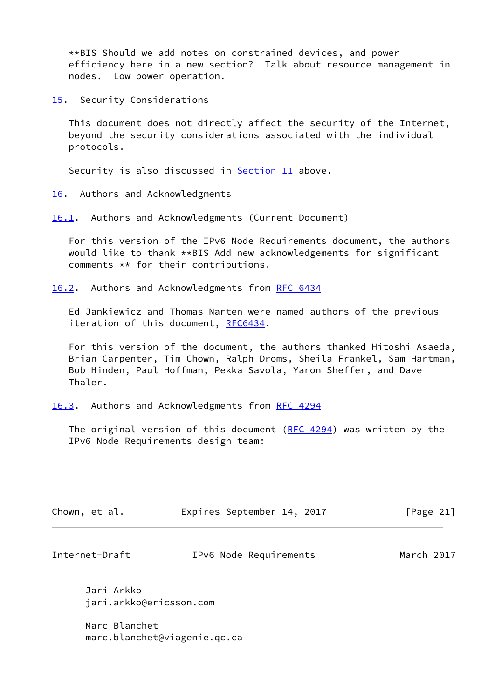\*\*BIS Should we add notes on constrained devices, and power efficiency here in a new section? Talk about resource management in nodes. Low power operation.

<span id="page-23-0"></span>[15.](#page-23-0) Security Considerations

 This document does not directly affect the security of the Internet, beyond the security considerations associated with the individual protocols.

Security is also discussed in **Section 11** above.

<span id="page-23-1"></span>[16.](#page-23-1) Authors and Acknowledgments

<span id="page-23-2"></span>[16.1](#page-23-2). Authors and Acknowledgments (Current Document)

 For this version of the IPv6 Node Requirements document, the authors would like to thank \*\*BIS Add new acknowledgements for significant comments \*\* for their contributions.

<span id="page-23-3"></span>[16.2](#page-23-3). Authors and Acknowledgments from [RFC 6434](https://datatracker.ietf.org/doc/pdf/rfc6434)

 Ed Jankiewicz and Thomas Narten were named authors of the previous iteration of this document, [RFC6434.](https://datatracker.ietf.org/doc/pdf/rfc6434)

 For this version of the document, the authors thanked Hitoshi Asaeda, Brian Carpenter, Tim Chown, Ralph Droms, Sheila Frankel, Sam Hartman, Bob Hinden, Paul Hoffman, Pekka Savola, Yaron Sheffer, and Dave Thaler.

<span id="page-23-4"></span>[16.3](#page-23-4). Authors and Acknowledgments from [RFC 4294](https://datatracker.ietf.org/doc/pdf/rfc4294)

The original version of this document ([RFC 4294\)](https://datatracker.ietf.org/doc/pdf/rfc4294) was written by the IPv6 Node Requirements design team:

| Chown, et al. |  | Expires September 14, 2017 |  |  | [Page 21] |  |
|---------------|--|----------------------------|--|--|-----------|--|
|---------------|--|----------------------------|--|--|-----------|--|

Internet-Draft IPv6 Node Requirements March 2017

 Jari Arkko jari.arkko@ericsson.com

 Marc Blanchet marc.blanchet@viagenie.qc.ca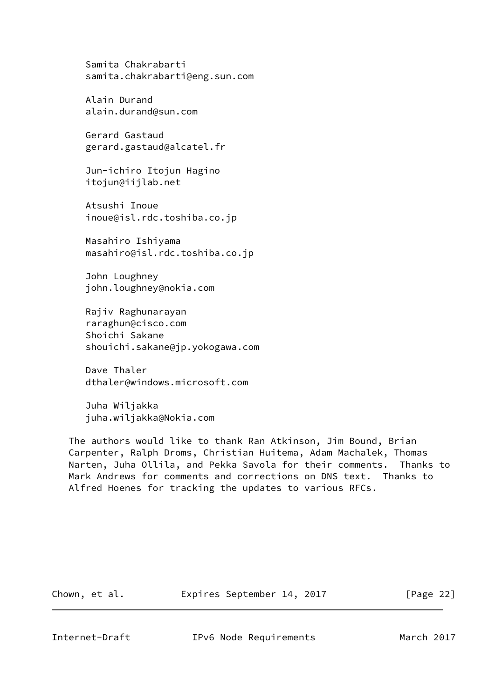Samita Chakrabarti samita.chakrabarti@eng.sun.com

 Alain Durand alain.durand@sun.com

 Gerard Gastaud gerard.gastaud@alcatel.fr

 Jun-ichiro Itojun Hagino itojun@iijlab.net

 Atsushi Inoue inoue@isl.rdc.toshiba.co.jp

 Masahiro Ishiyama masahiro@isl.rdc.toshiba.co.jp

 John Loughney john.loughney@nokia.com

 Rajiv Raghunarayan raraghun@cisco.com Shoichi Sakane shouichi.sakane@jp.yokogawa.com

 Dave Thaler dthaler@windows.microsoft.com

 Juha Wiljakka juha.wiljakka@Nokia.com

 The authors would like to thank Ran Atkinson, Jim Bound, Brian Carpenter, Ralph Droms, Christian Huitema, Adam Machalek, Thomas Narten, Juha Ollila, and Pekka Savola for their comments. Thanks to Mark Andrews for comments and corrections on DNS text. Thanks to Alfred Hoenes for tracking the updates to various RFCs.

Chown, et al. Expires September 14, 2017 [Page 22]

<span id="page-24-0"></span>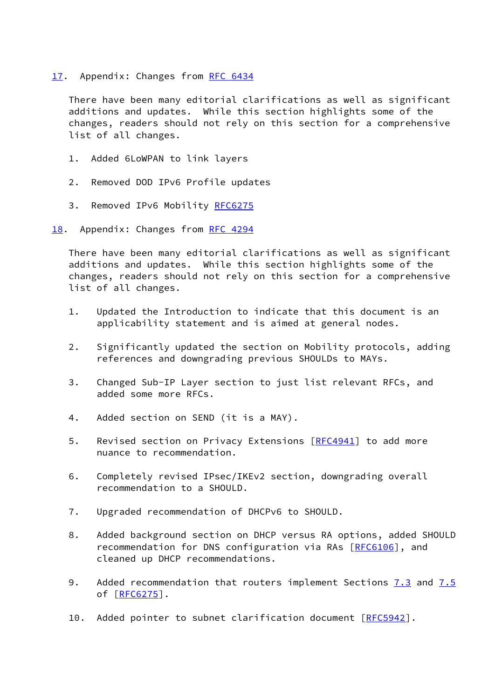<span id="page-25-0"></span>[17.](#page-25-0) Appendix: Changes from [RFC 6434](https://datatracker.ietf.org/doc/pdf/rfc6434)

 There have been many editorial clarifications as well as significant additions and updates. While this section highlights some of the changes, readers should not rely on this section for a comprehensive list of all changes.

- 1. Added 6LoWPAN to link layers
- 2. Removed DOD IPv6 Profile updates
- 3. Removed IPv6 Mobility [RFC6275](https://datatracker.ietf.org/doc/pdf/rfc6275)
- <span id="page-25-1"></span>[18.](#page-25-1) Appendix: Changes from [RFC 4294](https://datatracker.ietf.org/doc/pdf/rfc4294)

 There have been many editorial clarifications as well as significant additions and updates. While this section highlights some of the changes, readers should not rely on this section for a comprehensive list of all changes.

- 1. Updated the Introduction to indicate that this document is an applicability statement and is aimed at general nodes.
- 2. Significantly updated the section on Mobility protocols, adding references and downgrading previous SHOULDs to MAYs.
- 3. Changed Sub-IP Layer section to just list relevant RFCs, and added some more RFCs.
- 4. Added section on SEND (it is a MAY).
- 5. Revised section on Privacy Extensions [[RFC4941\]](https://datatracker.ietf.org/doc/pdf/rfc4941) to add more nuance to recommendation.
- 6. Completely revised IPsec/IKEv2 section, downgrading overall recommendation to a SHOULD.
- 7. Upgraded recommendation of DHCPv6 to SHOULD.
- 8. Added background section on DHCP versus RA options, added SHOULD recommendation for DNS configuration via RAs [[RFC6106](https://datatracker.ietf.org/doc/pdf/rfc6106)], and cleaned up DHCP recommendations.
- 9. Added recommendation that routers implement Sections [7.3](#page-17-5) and 7.5 of [\[RFC6275](https://datatracker.ietf.org/doc/pdf/rfc6275)].
- 10. Added pointer to subnet clarification document [\[RFC5942](https://datatracker.ietf.org/doc/pdf/rfc5942)].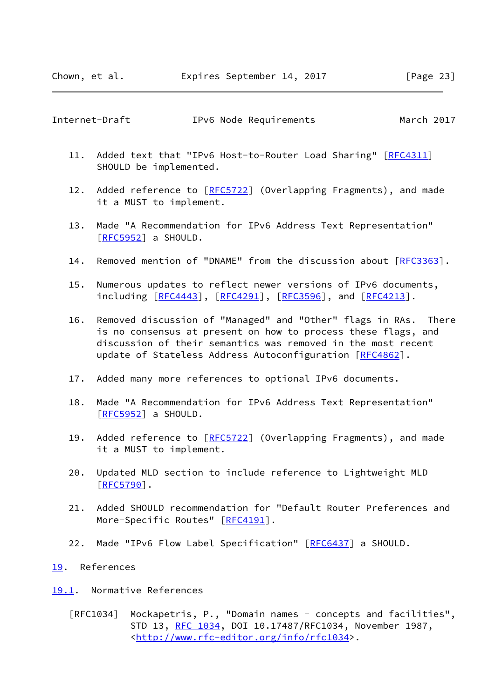#### <span id="page-26-1"></span>Internet-Draft IPv6 Node Requirements March 2017

- 11. Added text that "IPv6 Host-to-Router Load Sharing" [\[RFC4311](https://datatracker.ietf.org/doc/pdf/rfc4311)] SHOULD be implemented.
- 12. Added reference to [\[RFC5722](https://datatracker.ietf.org/doc/pdf/rfc5722)] (Overlapping Fragments), and made it a MUST to implement.
- 13. Made "A Recommendation for IPv6 Address Text Representation" [\[RFC5952](https://datatracker.ietf.org/doc/pdf/rfc5952)] a SHOULD.
- 14. Removed mention of "DNAME" from the discussion about [[RFC3363](https://datatracker.ietf.org/doc/pdf/rfc3363)].
- 15. Numerous updates to reflect newer versions of IPv6 documents, including [\[RFC4443](https://datatracker.ietf.org/doc/pdf/rfc4443)], [[RFC4291](https://datatracker.ietf.org/doc/pdf/rfc4291)], [\[RFC3596](https://datatracker.ietf.org/doc/pdf/rfc3596)], and [\[RFC4213](https://datatracker.ietf.org/doc/pdf/rfc4213)].
- 16. Removed discussion of "Managed" and "Other" flags in RAs. There is no consensus at present on how to process these flags, and discussion of their semantics was removed in the most recent update of Stateless Address Autoconfiguration [[RFC4862\]](https://datatracker.ietf.org/doc/pdf/rfc4862).
- 17. Added many more references to optional IPv6 documents.
- 18. Made "A Recommendation for IPv6 Address Text Representation"  $[REC5952]$  a SHOULD.
- 19. Added reference to [\[RFC5722](https://datatracker.ietf.org/doc/pdf/rfc5722)] (Overlapping Fragments), and made it a MUST to implement.
- 20. Updated MLD section to include reference to Lightweight MLD [\[RFC5790](https://datatracker.ietf.org/doc/pdf/rfc5790)].
- 21. Added SHOULD recommendation for "Default Router Preferences and More-Specific Routes" [[RFC4191\]](https://datatracker.ietf.org/doc/pdf/rfc4191).
- 22. Made "IPv6 Flow Label Specification" [[RFC6437](https://datatracker.ietf.org/doc/pdf/rfc6437)] a SHOULD.

#### <span id="page-26-0"></span>[19.](#page-26-0) References

- <span id="page-26-2"></span>[19.1](#page-26-2). Normative References
	- [RFC1034] Mockapetris, P., "Domain names concepts and facilities", STD 13, [RFC 1034,](https://datatracker.ietf.org/doc/pdf/rfc1034) DOI 10.17487/RFC1034, November 1987, <<http://www.rfc-editor.org/info/rfc1034>>.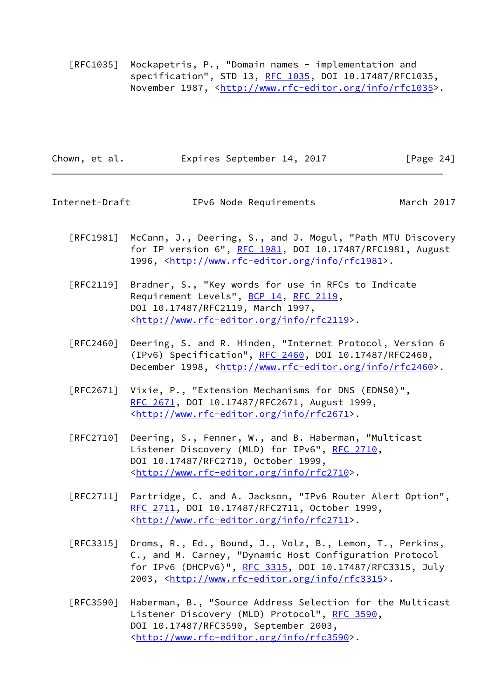[RFC1035] Mockapetris, P., "Domain names - implementation and specification", STD 13, [RFC 1035,](https://datatracker.ietf.org/doc/pdf/rfc1035) DOI 10.17487/RFC1035, November 1987, <<http://www.rfc-editor.org/info/rfc1035>>.

| Chown, et al. |  | Expires September 14, 2017 |  | [Page 24] |  |
|---------------|--|----------------------------|--|-----------|--|
|               |  |                            |  |           |  |

Internet-Draft IPv6 Node Requirements March 2017

- [RFC1981] McCann, J., Deering, S., and J. Mogul, "Path MTU Discovery for IP version 6", [RFC 1981](https://datatracker.ietf.org/doc/pdf/rfc1981), DOI 10.17487/RFC1981, August 1996, [<http://www.rfc-editor.org/info/rfc1981](http://www.rfc-editor.org/info/rfc1981)>.
- [RFC2119] Bradner, S., "Key words for use in RFCs to Indicate Requirement Levels", [BCP 14](https://datatracker.ietf.org/doc/pdf/bcp14), [RFC 2119](https://datatracker.ietf.org/doc/pdf/rfc2119), DOI 10.17487/RFC2119, March 1997, <<http://www.rfc-editor.org/info/rfc2119>>.
- [RFC2460] Deering, S. and R. Hinden, "Internet Protocol, Version 6 (IPv6) Specification", [RFC 2460](https://datatracker.ietf.org/doc/pdf/rfc2460), DOI 10.17487/RFC2460, December 1998, <<http://www.rfc-editor.org/info/rfc2460>>.
- [RFC2671] Vixie, P., "Extension Mechanisms for DNS (EDNS0)", [RFC 2671,](https://datatracker.ietf.org/doc/pdf/rfc2671) DOI 10.17487/RFC2671, August 1999, <<http://www.rfc-editor.org/info/rfc2671>>.
- [RFC2710] Deering, S., Fenner, W., and B. Haberman, "Multicast Listener Discovery (MLD) for IPv6", [RFC 2710,](https://datatracker.ietf.org/doc/pdf/rfc2710) DOI 10.17487/RFC2710, October 1999, <<http://www.rfc-editor.org/info/rfc2710>>.
- [RFC2711] Partridge, C. and A. Jackson, "IPv6 Router Alert Option", [RFC 2711,](https://datatracker.ietf.org/doc/pdf/rfc2711) DOI 10.17487/RFC2711, October 1999, <<http://www.rfc-editor.org/info/rfc2711>>.
- [RFC3315] Droms, R., Ed., Bound, J., Volz, B., Lemon, T., Perkins, C., and M. Carney, "Dynamic Host Configuration Protocol for IPv6 (DHCPv6)", [RFC 3315,](https://datatracker.ietf.org/doc/pdf/rfc3315) DOI 10.17487/RFC3315, July 2003, [<http://www.rfc-editor.org/info/rfc3315](http://www.rfc-editor.org/info/rfc3315)>.
- [RFC3590] Haberman, B., "Source Address Selection for the Multicast Listener Discovery (MLD) Protocol", [RFC 3590,](https://datatracker.ietf.org/doc/pdf/rfc3590) DOI 10.17487/RFC3590, September 2003, <<http://www.rfc-editor.org/info/rfc3590>>.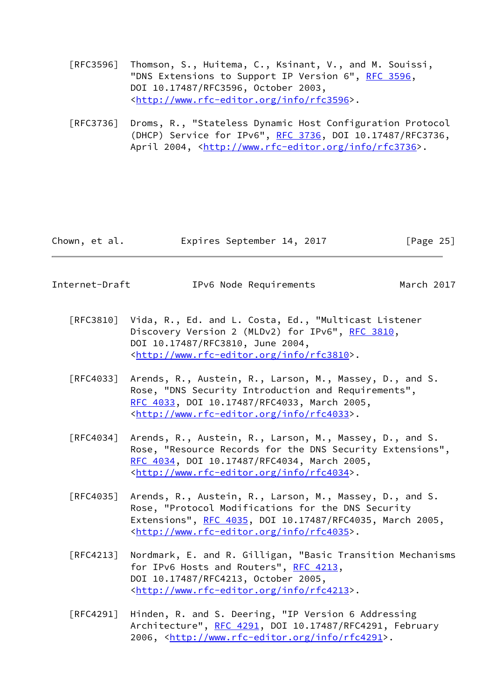- [RFC3596] Thomson, S., Huitema, C., Ksinant, V., and M. Souissi, "DNS Extensions to Support IP Version 6", [RFC 3596](https://datatracker.ietf.org/doc/pdf/rfc3596), DOI 10.17487/RFC3596, October 2003, <<http://www.rfc-editor.org/info/rfc3596>>.
- [RFC3736] Droms, R., "Stateless Dynamic Host Configuration Protocol (DHCP) Service for IPv6", [RFC 3736](https://datatracker.ietf.org/doc/pdf/rfc3736), DOI 10.17487/RFC3736, April 2004, [<http://www.rfc-editor.org/info/rfc3736](http://www.rfc-editor.org/info/rfc3736)>.

| Chown, et al. |  | Expires September 14, 2017 |  | [Page 25] |
|---------------|--|----------------------------|--|-----------|
|               |  |                            |  |           |

Internet-Draft IPv6 Node Requirements March 2017

- [RFC3810] Vida, R., Ed. and L. Costa, Ed., "Multicast Listener Discovery Version 2 (MLDv2) for IPv6", [RFC 3810](https://datatracker.ietf.org/doc/pdf/rfc3810), DOI 10.17487/RFC3810, June 2004, <<http://www.rfc-editor.org/info/rfc3810>>.
- [RFC4033] Arends, R., Austein, R., Larson, M., Massey, D., and S. Rose, "DNS Security Introduction and Requirements", [RFC 4033,](https://datatracker.ietf.org/doc/pdf/rfc4033) DOI 10.17487/RFC4033, March 2005, <<http://www.rfc-editor.org/info/rfc4033>>.
- [RFC4034] Arends, R., Austein, R., Larson, M., Massey, D., and S. Rose, "Resource Records for the DNS Security Extensions", [RFC 4034,](https://datatracker.ietf.org/doc/pdf/rfc4034) DOI 10.17487/RFC4034, March 2005, <<http://www.rfc-editor.org/info/rfc4034>>.
- [RFC4035] Arends, R., Austein, R., Larson, M., Massey, D., and S. Rose, "Protocol Modifications for the DNS Security Extensions", [RFC 4035](https://datatracker.ietf.org/doc/pdf/rfc4035), DOI 10.17487/RFC4035, March 2005, <<http://www.rfc-editor.org/info/rfc4035>>.
- [RFC4213] Nordmark, E. and R. Gilligan, "Basic Transition Mechanisms for IPv6 Hosts and Routers", [RFC 4213](https://datatracker.ietf.org/doc/pdf/rfc4213), DOI 10.17487/RFC4213, October 2005, <<http://www.rfc-editor.org/info/rfc4213>>.
- [RFC4291] Hinden, R. and S. Deering, "IP Version 6 Addressing Architecture", [RFC 4291](https://datatracker.ietf.org/doc/pdf/rfc4291), DOI 10.17487/RFC4291, February 2006, [<http://www.rfc-editor.org/info/rfc4291](http://www.rfc-editor.org/info/rfc4291)>.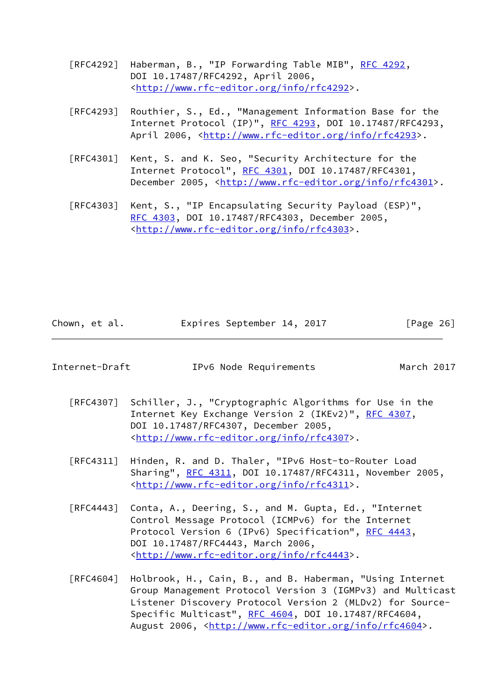- [RFC4292] Haberman, B., "IP Forwarding Table MIB", [RFC 4292,](https://datatracker.ietf.org/doc/pdf/rfc4292) DOI 10.17487/RFC4292, April 2006, <<http://www.rfc-editor.org/info/rfc4292>>.
- [RFC4293] Routhier, S., Ed., "Management Information Base for the Internet Protocol (IP)", [RFC 4293,](https://datatracker.ietf.org/doc/pdf/rfc4293) DOI 10.17487/RFC4293, April 2006, [<http://www.rfc-editor.org/info/rfc4293](http://www.rfc-editor.org/info/rfc4293)>.
- [RFC4301] Kent, S. and K. Seo, "Security Architecture for the Internet Protocol", [RFC 4301,](https://datatracker.ietf.org/doc/pdf/rfc4301) DOI 10.17487/RFC4301, December 2005, <<http://www.rfc-editor.org/info/rfc4301>>.
- [RFC4303] Kent, S., "IP Encapsulating Security Payload (ESP)", [RFC 4303,](https://datatracker.ietf.org/doc/pdf/rfc4303) DOI 10.17487/RFC4303, December 2005, <<http://www.rfc-editor.org/info/rfc4303>>.

| Chown, et al. | Expires September 14, 2017 | [Page 26] |
|---------------|----------------------------|-----------|
|---------------|----------------------------|-----------|

| Internet-Draft |  | IPv6 Node Requirements |
|----------------|--|------------------------|
|----------------|--|------------------------|

March 2017

- [RFC4307] Schiller, J., "Cryptographic Algorithms for Use in the Internet Key Exchange Version 2 (IKEv2)", [RFC 4307](https://datatracker.ietf.org/doc/pdf/rfc4307), DOI 10.17487/RFC4307, December 2005, <<http://www.rfc-editor.org/info/rfc4307>>.
- [RFC4311] Hinden, R. and D. Thaler, "IPv6 Host-to-Router Load Sharing", [RFC 4311](https://datatracker.ietf.org/doc/pdf/rfc4311), DOI 10.17487/RFC4311, November 2005, <<http://www.rfc-editor.org/info/rfc4311>>.
- [RFC4443] Conta, A., Deering, S., and M. Gupta, Ed., "Internet Control Message Protocol (ICMPv6) for the Internet Protocol Version 6 (IPv6) Specification", [RFC 4443](https://datatracker.ietf.org/doc/pdf/rfc4443), DOI 10.17487/RFC4443, March 2006, <<http://www.rfc-editor.org/info/rfc4443>>.
- [RFC4604] Holbrook, H., Cain, B., and B. Haberman, "Using Internet Group Management Protocol Version 3 (IGMPv3) and Multicast Listener Discovery Protocol Version 2 (MLDv2) for Source- Specific Multicast", [RFC 4604](https://datatracker.ietf.org/doc/pdf/rfc4604), DOI 10.17487/RFC4604, August 2006, [<http://www.rfc-editor.org/info/rfc4604](http://www.rfc-editor.org/info/rfc4604)>.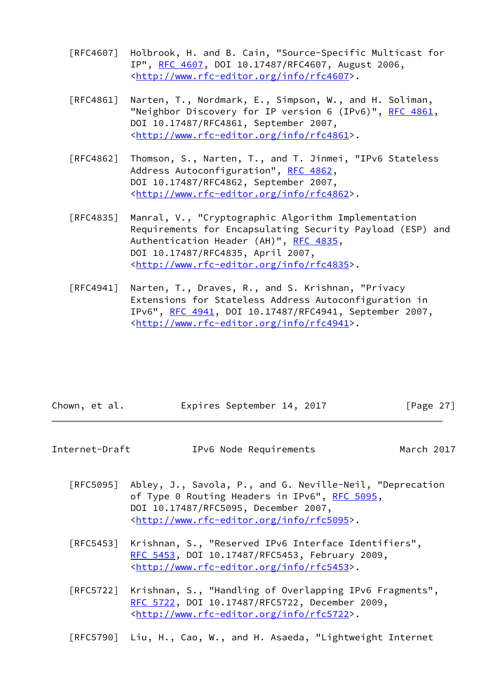- [RFC4607] Holbrook, H. and B. Cain, "Source-Specific Multicast for IP", [RFC 4607](https://datatracker.ietf.org/doc/pdf/rfc4607), DOI 10.17487/RFC4607, August 2006, <<http://www.rfc-editor.org/info/rfc4607>>.
- [RFC4861] Narten, T., Nordmark, E., Simpson, W., and H. Soliman, "Neighbor Discovery for IP version 6 (IPv6)", [RFC 4861](https://datatracker.ietf.org/doc/pdf/rfc4861), DOI 10.17487/RFC4861, September 2007, <<http://www.rfc-editor.org/info/rfc4861>>.
- [RFC4862] Thomson, S., Narten, T., and T. Jinmei, "IPv6 Stateless Address Autoconfiguration", [RFC 4862,](https://datatracker.ietf.org/doc/pdf/rfc4862) DOI 10.17487/RFC4862, September 2007, <<http://www.rfc-editor.org/info/rfc4862>>.
- [RFC4835] Manral, V., "Cryptographic Algorithm Implementation Requirements for Encapsulating Security Payload (ESP) and Authentication Header (AH)", [RFC 4835](https://datatracker.ietf.org/doc/pdf/rfc4835), DOI 10.17487/RFC4835, April 2007, <<http://www.rfc-editor.org/info/rfc4835>>.
- [RFC4941] Narten, T., Draves, R., and S. Krishnan, "Privacy Extensions for Stateless Address Autoconfiguration in IPv6", [RFC 4941](https://datatracker.ietf.org/doc/pdf/rfc4941), DOI 10.17487/RFC4941, September 2007, <<http://www.rfc-editor.org/info/rfc4941>>.

| Chown, et al. |  |  | Expires September 14, 2017 |  |  | [Page 27] |  |
|---------------|--|--|----------------------------|--|--|-----------|--|
|---------------|--|--|----------------------------|--|--|-----------|--|

| Internet-Draft | IPv6 Node Requirements | March 2017 |
|----------------|------------------------|------------|
|----------------|------------------------|------------|

- [RFC5095] Abley, J., Savola, P., and G. Neville-Neil, "Deprecation of Type 0 Routing Headers in IPv6", [RFC 5095,](https://datatracker.ietf.org/doc/pdf/rfc5095) DOI 10.17487/RFC5095, December 2007, <<http://www.rfc-editor.org/info/rfc5095>>.
- [RFC5453] Krishnan, S., "Reserved IPv6 Interface Identifiers", [RFC 5453,](https://datatracker.ietf.org/doc/pdf/rfc5453) DOI 10.17487/RFC5453, February 2009, <<http://www.rfc-editor.org/info/rfc5453>>.
- [RFC5722] Krishnan, S., "Handling of Overlapping IPv6 Fragments", [RFC 5722,](https://datatracker.ietf.org/doc/pdf/rfc5722) DOI 10.17487/RFC5722, December 2009, <<http://www.rfc-editor.org/info/rfc5722>>.

[RFC5790] Liu, H., Cao, W., and H. Asaeda, "Lightweight Internet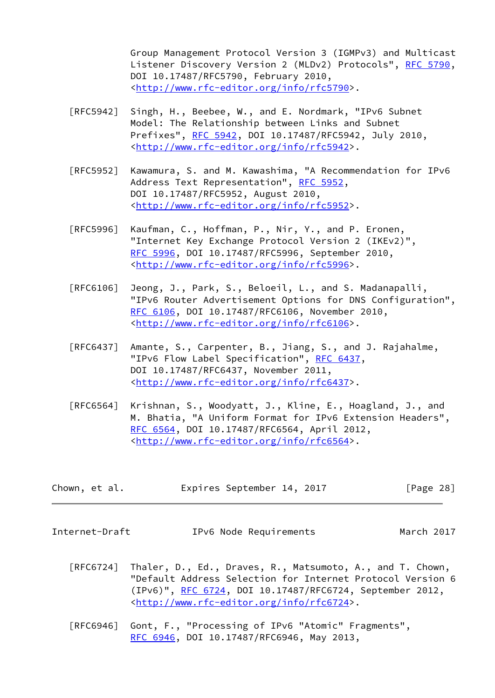Group Management Protocol Version 3 (IGMPv3) and Multicast Listener Discovery Version 2 (MLDv2) Protocols", [RFC 5790,](https://datatracker.ietf.org/doc/pdf/rfc5790) DOI 10.17487/RFC5790, February 2010, <<http://www.rfc-editor.org/info/rfc5790>>.

- [RFC5942] Singh, H., Beebee, W., and E. Nordmark, "IPv6 Subnet Model: The Relationship between Links and Subnet Prefixes", [RFC 5942](https://datatracker.ietf.org/doc/pdf/rfc5942), DOI 10.17487/RFC5942, July 2010, <<http://www.rfc-editor.org/info/rfc5942>>.
- [RFC5952] Kawamura, S. and M. Kawashima, "A Recommendation for IPv6 Address Text Representation", [RFC 5952](https://datatracker.ietf.org/doc/pdf/rfc5952), DOI 10.17487/RFC5952, August 2010, <<http://www.rfc-editor.org/info/rfc5952>>.
- [RFC5996] Kaufman, C., Hoffman, P., Nir, Y., and P. Eronen, "Internet Key Exchange Protocol Version 2 (IKEv2)", [RFC 5996,](https://datatracker.ietf.org/doc/pdf/rfc5996) DOI 10.17487/RFC5996, September 2010, <<http://www.rfc-editor.org/info/rfc5996>>.
- [RFC6106] Jeong, J., Park, S., Beloeil, L., and S. Madanapalli, "IPv6 Router Advertisement Options for DNS Configuration", [RFC 6106,](https://datatracker.ietf.org/doc/pdf/rfc6106) DOI 10.17487/RFC6106, November 2010, <<http://www.rfc-editor.org/info/rfc6106>>.
- [RFC6437] Amante, S., Carpenter, B., Jiang, S., and J. Rajahalme, "IPv6 Flow Label Specification", [RFC 6437,](https://datatracker.ietf.org/doc/pdf/rfc6437) DOI 10.17487/RFC6437, November 2011, <<http://www.rfc-editor.org/info/rfc6437>>.
- [RFC6564] Krishnan, S., Woodyatt, J., Kline, E., Hoagland, J., and M. Bhatia, "A Uniform Format for IPv6 Extension Headers", [RFC 6564,](https://datatracker.ietf.org/doc/pdf/rfc6564) DOI 10.17487/RFC6564, April 2012, <<http://www.rfc-editor.org/info/rfc6564>>.

| Chown, et al. | Expires September 14, 2017 | [Page 28] |
|---------------|----------------------------|-----------|
|---------------|----------------------------|-----------|

Internet-Draft IPv6 Node Requirements March 2017

- [RFC6724] Thaler, D., Ed., Draves, R., Matsumoto, A., and T. Chown, "Default Address Selection for Internet Protocol Version 6 (IPv6)", [RFC 6724,](https://datatracker.ietf.org/doc/pdf/rfc6724) DOI 10.17487/RFC6724, September 2012, <<http://www.rfc-editor.org/info/rfc6724>>.
- [RFC6946] Gont, F., "Processing of IPv6 "Atomic" Fragments", [RFC 6946,](https://datatracker.ietf.org/doc/pdf/rfc6946) DOI 10.17487/RFC6946, May 2013,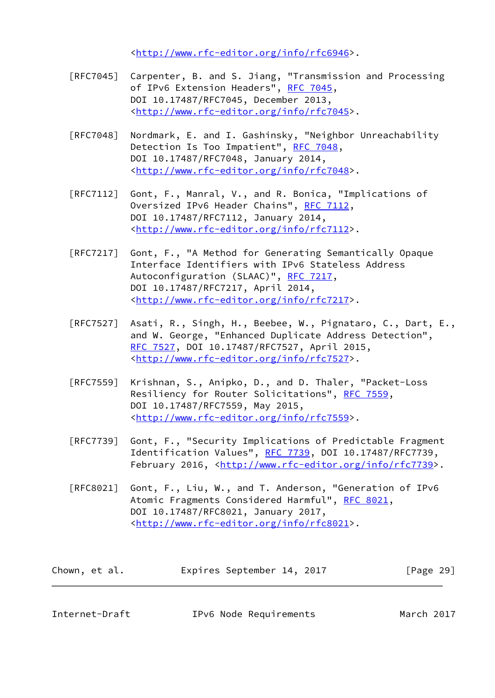<<http://www.rfc-editor.org/info/rfc6946>>.

- [RFC7045] Carpenter, B. and S. Jiang, "Transmission and Processing of IPv6 Extension Headers", [RFC 7045,](https://datatracker.ietf.org/doc/pdf/rfc7045) DOI 10.17487/RFC7045, December 2013, <<http://www.rfc-editor.org/info/rfc7045>>.
- [RFC7048] Nordmark, E. and I. Gashinsky, "Neighbor Unreachability Detection Is Too Impatient", [RFC 7048](https://datatracker.ietf.org/doc/pdf/rfc7048), DOI 10.17487/RFC7048, January 2014, <<http://www.rfc-editor.org/info/rfc7048>>.
- [RFC7112] Gont, F., Manral, V., and R. Bonica, "Implications of Oversized IPv6 Header Chains", [RFC 7112](https://datatracker.ietf.org/doc/pdf/rfc7112), DOI 10.17487/RFC7112, January 2014, <<http://www.rfc-editor.org/info/rfc7112>>.
- [RFC7217] Gont, F., "A Method for Generating Semantically Opaque Interface Identifiers with IPv6 Stateless Address Autoconfiguration (SLAAC)", [RFC 7217,](https://datatracker.ietf.org/doc/pdf/rfc7217) DOI 10.17487/RFC7217, April 2014, <<http://www.rfc-editor.org/info/rfc7217>>.
- [RFC7527] Asati, R., Singh, H., Beebee, W., Pignataro, C., Dart, E., and W. George, "Enhanced Duplicate Address Detection", [RFC 7527,](https://datatracker.ietf.org/doc/pdf/rfc7527) DOI 10.17487/RFC7527, April 2015, <<http://www.rfc-editor.org/info/rfc7527>>.
- [RFC7559] Krishnan, S., Anipko, D., and D. Thaler, "Packet-Loss Resiliency for Router Solicitations", [RFC 7559](https://datatracker.ietf.org/doc/pdf/rfc7559), DOI 10.17487/RFC7559, May 2015, <<http://www.rfc-editor.org/info/rfc7559>>.
- [RFC7739] Gont, F., "Security Implications of Predictable Fragment Identification Values", [RFC 7739,](https://datatracker.ietf.org/doc/pdf/rfc7739) DOI 10.17487/RFC7739, February 2016, <<http://www.rfc-editor.org/info/rfc7739>>.
- [RFC8021] Gont, F., Liu, W., and T. Anderson, "Generation of IPv6 Atomic Fragments Considered Harmful", [RFC 8021](https://datatracker.ietf.org/doc/pdf/rfc8021), DOI 10.17487/RFC8021, January 2017, <<http://www.rfc-editor.org/info/rfc8021>>.

| Chown, et al. | Expires September 14, 2017 |  | [Page 29] |
|---------------|----------------------------|--|-----------|
|---------------|----------------------------|--|-----------|

<span id="page-32-0"></span>Internet-Draft IPv6 Node Requirements March 2017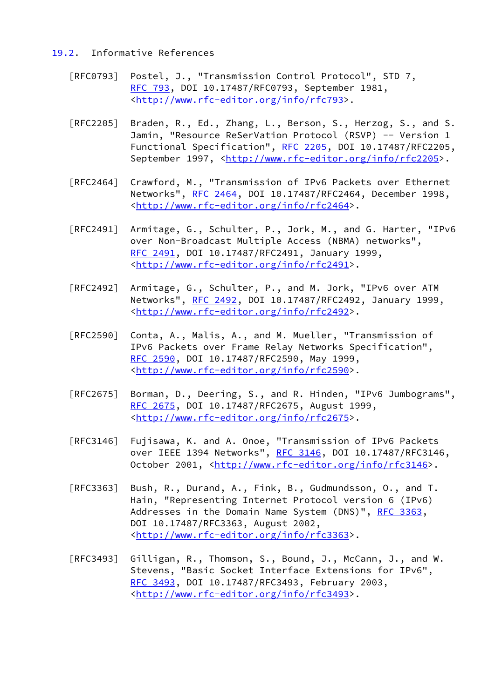## <span id="page-33-0"></span>[19.2](#page-33-0). Informative References

- [RFC0793] Postel, J., "Transmission Control Protocol", STD 7, [RFC 793](https://datatracker.ietf.org/doc/pdf/rfc793), DOI 10.17487/RFC0793, September 1981, <[http://www.rfc-editor.org/info/rfc793>](http://www.rfc-editor.org/info/rfc793).
- [RFC2205] Braden, R., Ed., Zhang, L., Berson, S., Herzog, S., and S. Jamin, "Resource ReSerVation Protocol (RSVP) -- Version 1 Functional Specification", [RFC 2205](https://datatracker.ietf.org/doc/pdf/rfc2205), DOI 10.17487/RFC2205, September 1997, <<http://www.rfc-editor.org/info/rfc2205>>.
- [RFC2464] Crawford, M., "Transmission of IPv6 Packets over Ethernet Networks", [RFC 2464](https://datatracker.ietf.org/doc/pdf/rfc2464), DOI 10.17487/RFC2464, December 1998, <<http://www.rfc-editor.org/info/rfc2464>>.
- [RFC2491] Armitage, G., Schulter, P., Jork, M., and G. Harter, "IPv6 over Non-Broadcast Multiple Access (NBMA) networks", [RFC 2491,](https://datatracker.ietf.org/doc/pdf/rfc2491) DOI 10.17487/RFC2491, January 1999, <<http://www.rfc-editor.org/info/rfc2491>>.
- [RFC2492] Armitage, G., Schulter, P., and M. Jork, "IPv6 over ATM Networks", [RFC 2492](https://datatracker.ietf.org/doc/pdf/rfc2492), DOI 10.17487/RFC2492, January 1999, <<http://www.rfc-editor.org/info/rfc2492>>.
- [RFC2590] Conta, A., Malis, A., and M. Mueller, "Transmission of IPv6 Packets over Frame Relay Networks Specification", [RFC 2590,](https://datatracker.ietf.org/doc/pdf/rfc2590) DOI 10.17487/RFC2590, May 1999, <<http://www.rfc-editor.org/info/rfc2590>>.
- [RFC2675] Borman, D., Deering, S., and R. Hinden, "IPv6 Jumbograms", [RFC 2675,](https://datatracker.ietf.org/doc/pdf/rfc2675) DOI 10.17487/RFC2675, August 1999, <<http://www.rfc-editor.org/info/rfc2675>>.
- [RFC3146] Fujisawa, K. and A. Onoe, "Transmission of IPv6 Packets over IEEE 1394 Networks", [RFC 3146](https://datatracker.ietf.org/doc/pdf/rfc3146), DOI 10.17487/RFC3146, October 2001, [<http://www.rfc-editor.org/info/rfc3146](http://www.rfc-editor.org/info/rfc3146)>.
- [RFC3363] Bush, R., Durand, A., Fink, B., Gudmundsson, O., and T. Hain, "Representing Internet Protocol version 6 (IPv6) Addresses in the Domain Name System (DNS)", [RFC 3363,](https://datatracker.ietf.org/doc/pdf/rfc3363) DOI 10.17487/RFC3363, August 2002, <<http://www.rfc-editor.org/info/rfc3363>>.
- [RFC3493] Gilligan, R., Thomson, S., Bound, J., McCann, J., and W. Stevens, "Basic Socket Interface Extensions for IPv6", [RFC 3493,](https://datatracker.ietf.org/doc/pdf/rfc3493) DOI 10.17487/RFC3493, February 2003, <<http://www.rfc-editor.org/info/rfc3493>>.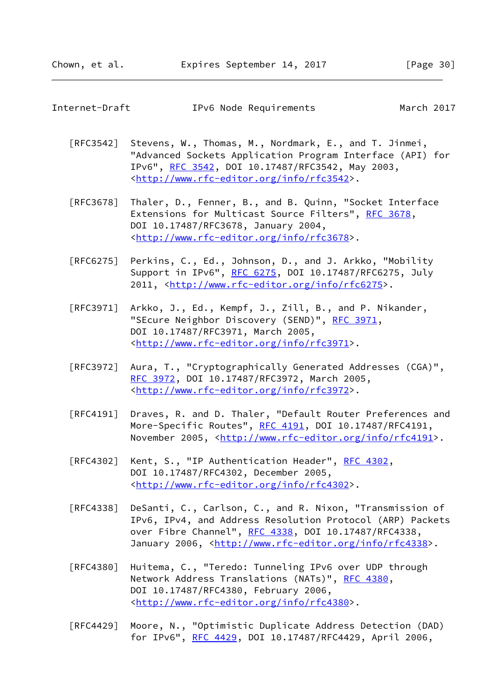| Internet-Draft | IPv6 Node Requirements | March 2017 |
|----------------|------------------------|------------|
|----------------|------------------------|------------|

[RFC3542] Stevens, W., Thomas, M., Nordmark, E., and T. Jinmei, "Advanced Sockets Application Program Interface (API) for IPv6", [RFC 3542](https://datatracker.ietf.org/doc/pdf/rfc3542), DOI 10.17487/RFC3542, May 2003, <<http://www.rfc-editor.org/info/rfc3542>>.

- [RFC3678] Thaler, D., Fenner, B., and B. Quinn, "Socket Interface Extensions for Multicast Source Filters", [RFC 3678](https://datatracker.ietf.org/doc/pdf/rfc3678), DOI 10.17487/RFC3678, January 2004, <<http://www.rfc-editor.org/info/rfc3678>>.
- [RFC6275] Perkins, C., Ed., Johnson, D., and J. Arkko, "Mobility Support in IPv6", [RFC 6275](https://datatracker.ietf.org/doc/pdf/rfc6275), DOI 10.17487/RFC6275, July 2011, [<http://www.rfc-editor.org/info/rfc6275](http://www.rfc-editor.org/info/rfc6275)>.
- [RFC3971] Arkko, J., Ed., Kempf, J., Zill, B., and P. Nikander, "SEcure Neighbor Discovery (SEND)", [RFC 3971,](https://datatracker.ietf.org/doc/pdf/rfc3971) DOI 10.17487/RFC3971, March 2005, <<http://www.rfc-editor.org/info/rfc3971>>.
- [RFC3972] Aura, T., "Cryptographically Generated Addresses (CGA)", [RFC 3972,](https://datatracker.ietf.org/doc/pdf/rfc3972) DOI 10.17487/RFC3972, March 2005, <<http://www.rfc-editor.org/info/rfc3972>>.
- [RFC4191] Draves, R. and D. Thaler, "Default Router Preferences and More-Specific Routes", [RFC 4191](https://datatracker.ietf.org/doc/pdf/rfc4191), DOI 10.17487/RFC4191, November 2005, <<http://www.rfc-editor.org/info/rfc4191>>.
- [RFC4302] Kent, S., "IP Authentication Header", [RFC 4302](https://datatracker.ietf.org/doc/pdf/rfc4302), DOI 10.17487/RFC4302, December 2005, <<http://www.rfc-editor.org/info/rfc4302>>.
- [RFC4338] DeSanti, C., Carlson, C., and R. Nixon, "Transmission of IPv6, IPv4, and Address Resolution Protocol (ARP) Packets over Fibre Channel", [RFC 4338](https://datatracker.ietf.org/doc/pdf/rfc4338), DOI 10.17487/RFC4338, January 2006, [<http://www.rfc-editor.org/info/rfc4338](http://www.rfc-editor.org/info/rfc4338)>.
- [RFC4380] Huitema, C., "Teredo: Tunneling IPv6 over UDP through Network Address Translations (NATs)", [RFC 4380](https://datatracker.ietf.org/doc/pdf/rfc4380), DOI 10.17487/RFC4380, February 2006, <<http://www.rfc-editor.org/info/rfc4380>>.
- [RFC4429] Moore, N., "Optimistic Duplicate Address Detection (DAD) for IPv6", [RFC 4429](https://datatracker.ietf.org/doc/pdf/rfc4429), DOI 10.17487/RFC4429, April 2006,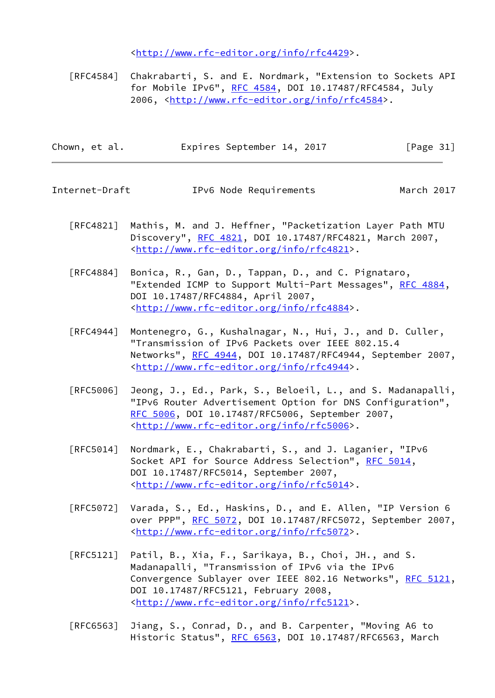<<http://www.rfc-editor.org/info/rfc4429>>.

 [RFC4584] Chakrabarti, S. and E. Nordmark, "Extension to Sockets API for Mobile IPv6", [RFC 4584](https://datatracker.ietf.org/doc/pdf/rfc4584), DOI 10.17487/RFC4584, July 2006, [<http://www.rfc-editor.org/info/rfc4584](http://www.rfc-editor.org/info/rfc4584)>.

| Expires September 14, 2017 | Chown, et al. |  |  |  |  |  | [Page 31] |  |
|----------------------------|---------------|--|--|--|--|--|-----------|--|
|----------------------------|---------------|--|--|--|--|--|-----------|--|

Internet-Draft IPv6 Node Requirements March 2017

- [RFC4821] Mathis, M. and J. Heffner, "Packetization Layer Path MTU Discovery", [RFC 4821,](https://datatracker.ietf.org/doc/pdf/rfc4821) DOI 10.17487/RFC4821, March 2007, <<http://www.rfc-editor.org/info/rfc4821>>.
- [RFC4884] Bonica, R., Gan, D., Tappan, D., and C. Pignataro, "Extended ICMP to Support Multi-Part Messages", [RFC 4884,](https://datatracker.ietf.org/doc/pdf/rfc4884) DOI 10.17487/RFC4884, April 2007, <<http://www.rfc-editor.org/info/rfc4884>>.
- [RFC4944] Montenegro, G., Kushalnagar, N., Hui, J., and D. Culler, "Transmission of IPv6 Packets over IEEE 802.15.4 Networks", [RFC 4944](https://datatracker.ietf.org/doc/pdf/rfc4944), DOI 10.17487/RFC4944, September 2007, <<http://www.rfc-editor.org/info/rfc4944>>.
- [RFC5006] Jeong, J., Ed., Park, S., Beloeil, L., and S. Madanapalli, "IPv6 Router Advertisement Option for DNS Configuration", [RFC 5006,](https://datatracker.ietf.org/doc/pdf/rfc5006) DOI 10.17487/RFC5006, September 2007, <<http://www.rfc-editor.org/info/rfc5006>>.
- [RFC5014] Nordmark, E., Chakrabarti, S., and J. Laganier, "IPv6 Socket API for Source Address Selection", [RFC 5014](https://datatracker.ietf.org/doc/pdf/rfc5014), DOI 10.17487/RFC5014, September 2007, <<http://www.rfc-editor.org/info/rfc5014>>.
- [RFC5072] Varada, S., Ed., Haskins, D., and E. Allen, "IP Version 6 over PPP", [RFC 5072](https://datatracker.ietf.org/doc/pdf/rfc5072), DOI 10.17487/RFC5072, September 2007, <<http://www.rfc-editor.org/info/rfc5072>>.
- [RFC5121] Patil, B., Xia, F., Sarikaya, B., Choi, JH., and S. Madanapalli, "Transmission of IPv6 via the IPv6 Convergence Sublayer over IEEE 802.16 Networks", [RFC 5121,](https://datatracker.ietf.org/doc/pdf/rfc5121) DOI 10.17487/RFC5121, February 2008, <<http://www.rfc-editor.org/info/rfc5121>>.
- [RFC6563] Jiang, S., Conrad, D., and B. Carpenter, "Moving A6 to Historic Status", [RFC 6563](https://datatracker.ietf.org/doc/pdf/rfc6563), DOI 10.17487/RFC6563, March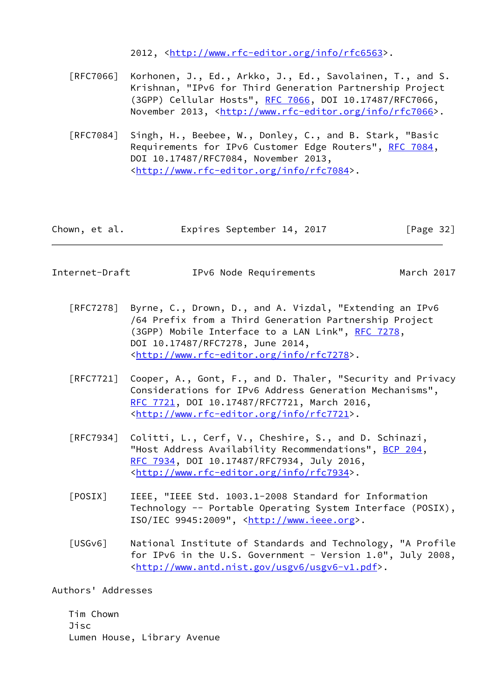2012, [<http://www.rfc-editor.org/info/rfc6563](http://www.rfc-editor.org/info/rfc6563)>.

- [RFC7066] Korhonen, J., Ed., Arkko, J., Ed., Savolainen, T., and S. Krishnan, "IPv6 for Third Generation Partnership Project (3GPP) Cellular Hosts", [RFC 7066,](https://datatracker.ietf.org/doc/pdf/rfc7066) DOI 10.17487/RFC7066, November 2013, <<http://www.rfc-editor.org/info/rfc7066>>.
- [RFC7084] Singh, H., Beebee, W., Donley, C., and B. Stark, "Basic Requirements for IPv6 Customer Edge Routers", [RFC 7084](https://datatracker.ietf.org/doc/pdf/rfc7084), DOI 10.17487/RFC7084, November 2013, <<http://www.rfc-editor.org/info/rfc7084>>.

| Chown, et al. | Expires September 14, 2017 | [Page 32] |
|---------------|----------------------------|-----------|
|---------------|----------------------------|-----------|

<span id="page-36-0"></span>

March 2017

- [RFC7278] Byrne, C., Drown, D., and A. Vizdal, "Extending an IPv6 /64 Prefix from a Third Generation Partnership Project (3GPP) Mobile Interface to a LAN Link", [RFC 7278,](https://datatracker.ietf.org/doc/pdf/rfc7278) DOI 10.17487/RFC7278, June 2014, <<http://www.rfc-editor.org/info/rfc7278>>.
- [RFC7721] Cooper, A., Gont, F., and D. Thaler, "Security and Privacy Considerations for IPv6 Address Generation Mechanisms", [RFC 7721,](https://datatracker.ietf.org/doc/pdf/rfc7721) DOI 10.17487/RFC7721, March 2016, <<http://www.rfc-editor.org/info/rfc7721>>.
- [RFC7934] Colitti, L., Cerf, V., Cheshire, S., and D. Schinazi, "Host Address Availability Recommendations", [BCP 204](https://datatracker.ietf.org/doc/pdf/bcp204), [RFC 7934,](https://datatracker.ietf.org/doc/pdf/rfc7934) DOI 10.17487/RFC7934, July 2016, <<http://www.rfc-editor.org/info/rfc7934>>.
- <span id="page-36-2"></span> [POSIX] IEEE, "IEEE Std. 1003.1-2008 Standard for Information Technology -- Portable Operating System Interface (POSIX), ISO/IEC 9945:2009", [<http://www.ieee.org](http://www.ieee.org)>.
- <span id="page-36-1"></span> [USGv6] National Institute of Standards and Technology, "A Profile for IPv6 in the U.S. Government - Version 1.0", July 2008, <[http://www.antd.nist.gov/usgv6/usgv6-v1.pdf>](http://www.antd.nist.gov/usgv6/usgv6-v1.pdf).

Authors' Addresses

 Tim Chown Jisc Lumen House, Library Avenue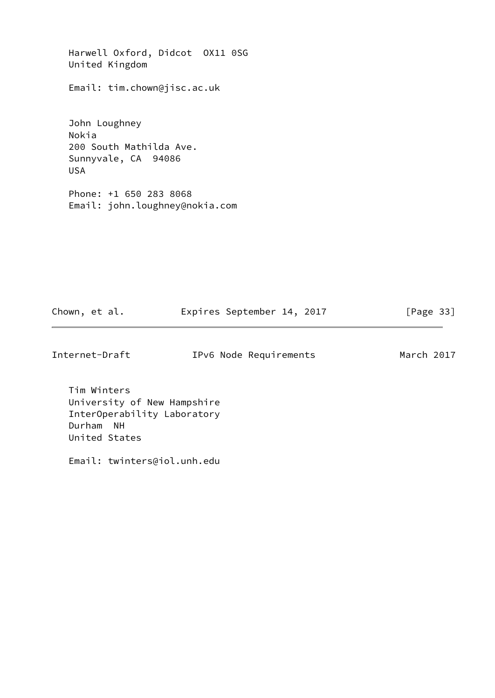Harwell Oxford, Didcot OX11 0SG United Kingdom

Email: tim.chown@jisc.ac.uk

 John Loughney Nokia 200 South Mathilda Ave. Sunnyvale, CA 94086 USA

 Phone: +1 650 283 8068 Email: john.loughney@nokia.com

| Chown, et al. |  |  | Expires September 14, 2017 |  |  | [Page 33] |  |
|---------------|--|--|----------------------------|--|--|-----------|--|
|---------------|--|--|----------------------------|--|--|-----------|--|

Internet-Draft IPv6 Node Requirements March 2017

 Tim Winters University of New Hampshire InterOperability Laboratory Durham NH United States

Email: twinters@iol.unh.edu